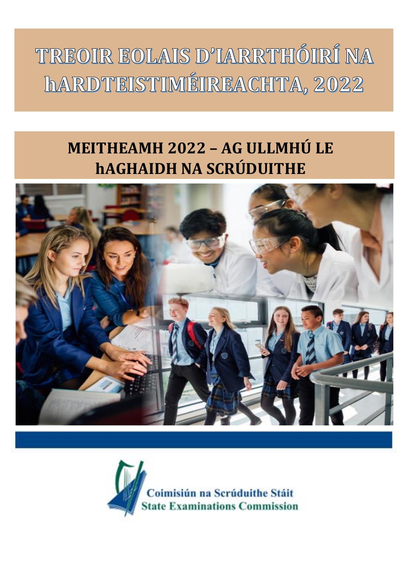TREOIR EOLAIS D'IARRTHÓIRÍ NA hARDTEISTIMÉIREACHTA, 2022

# **MEITHEAMH 2022 – AG ULLMHÚ LE hAGHAIDH NA SCRÚDUITHE**



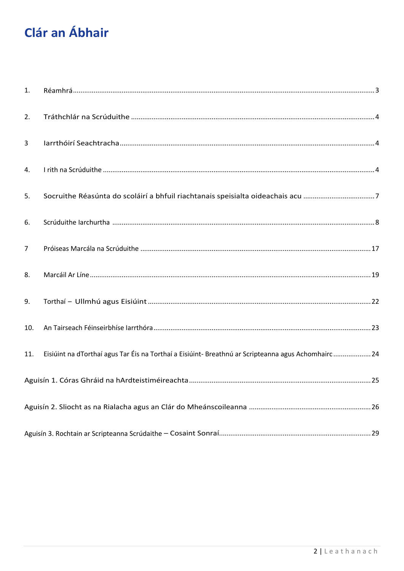## **Clár an Ábhair**

| 1.             |                                                                                                   |
|----------------|---------------------------------------------------------------------------------------------------|
| 2.             |                                                                                                   |
| 3              |                                                                                                   |
| 4.             |                                                                                                   |
| 5.             | Socruithe Réasúnta do scoláirí a bhfuil riachtanais speisialta oideachais acu 7                   |
| 6.             |                                                                                                   |
| $\overline{7}$ |                                                                                                   |
| 8.             |                                                                                                   |
| 9.             |                                                                                                   |
| 10.            |                                                                                                   |
| 11.            | Eisiúint na dTorthaí agus Tar Éis na Torthaí a Eisiúint-Breathnú ar Scripteanna agus Achomhairc24 |
|                |                                                                                                   |
|                |                                                                                                   |
|                |                                                                                                   |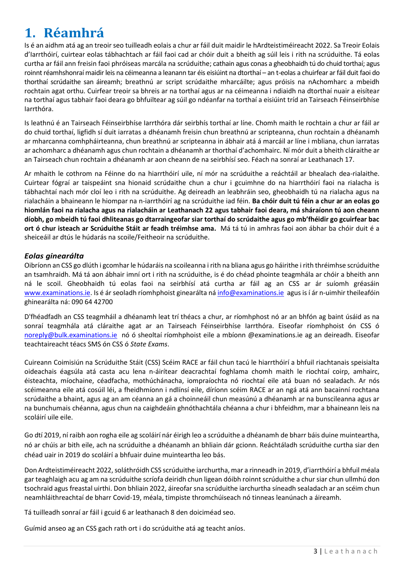## <span id="page-2-0"></span>**1. Réamhrá**

Is é an aidhm atá ag an treoir seo tuilleadh eolais a chur ar fáil duit maidir le hArdteistiméireacht 2022. Sa Treoir Eolais d'Iarrthóirí, cuirtear eolas tábhachtach ar fáil faoi cad ar chóir duit a bheith ag súil leis i rith na scrúduithe. Tá eolas curtha ar fáil ann freisin faoi phróiseas marcála na scrúduithe; cathain agus conas a gheobhaidh tú do chuid torthaí; agus roinnt réamhshonraí maidir leis na céimeanna a leanann tar éis eisiúint na dtorthaí – an t-eolas a chuirfear ar fáil duit faoi do thorthaí scrúdaithe san áireamh; breathnú ar script scrúdaithe mharcáilte; agus próisis na nAchomharc a mbeidh rochtain agat orthu. Cuirfear treoir sa bhreis ar na torthaí agus ar na céimeanna i ndiaidh na dtorthaí nuair a eisítear na torthaí agus tabhair faoi deara go bhfuiltear ag súil go ndéanfar na torthaí a eisiúint tríd an Tairseach Féinseirbhíse Iarrthóra.

Is leathnú é an Tairseach Féinseirbhíse Iarrthóra dár seirbhís torthaí ar líne. Chomh maith le rochtain a chur ar fáil ar do chuid torthaí, ligfidh sí duit iarratas a dhéanamh freisin chun breathnú ar scripteanna, chun rochtain a dhéanamh ar mharcanna comhpháirteanna, chun breathnú ar scripteanna in ábhair atá á marcáil ar líne i mbliana, chun iarratas ar achomharc a dhéanamh agus chun rochtain a dhéanamh ar thorthaí d'achomhairc. Ní mór duit a bheith cláraithe ar an Tairseach chun rochtain a dhéanamh ar aon cheann de na seirbhísí seo. Féach na sonraí ar Leathanach 17.

Ar mhaith le cothrom na Féinne do na hiarrthóirí uile, ní mór na scrúduithe a reáchtáil ar bhealach dea-rialaithe. Cuirtear fógraí ar taispeáint sna hionaid scrúdaithe chun a chur i gcuimhne do na hiarrthóirí faoi na rialacha is tábhachtaí nach mór cloí leo i rith na scrúduithe. Ag deireadh an leabhráin seo, gheobhaidh tú na rialacha agus na rialacháin a bhaineann le hiompar na n-iarrthóirí ag na scrúduithe iad féin. **Ba chóir duit tú féin a chur ar an eolas go hiomlán faoi na rialacha agus na rialacháin ar Leathanach 22 agus tabhair faoi deara, má sháraíonn tú aon cheann díobh, go mbeidh tú faoi dhliteanas go dtarraingeofar siar torthaí do scrúdaithe agus go mb'fhéidir go gcuirfear bac ort ó chur isteach ar Scrúduithe Stáit ar feadh tréimhse ama.** Má tá tú in amhras faoi aon ábhar ba chóir duit é a sheiceáil ar dtús le húdarás na scoile/Feitheoir na scrúduithe.

#### *Eolas ginearálta*

Oibríonn an CSS go dlúth i gcomhar le húdaráis na scoileanna i rith na bliana agus go háirithe i rith thréimhse scrúduithe an tsamhraidh. Má tá aon ábhair imní ort i rith na scrúduithe, is é do chéad phointe teagmhála ar chóir a bheith ann ná le scoil. Gheobhaidh tú eolas faoi na seirbhísí atá curtha ar fáil ag an CSS ar ár suíomh gréasáin [www.examinations.ie.](http://www.examinations.ie/) Is é ár seoladh ríomhphoist ginearálta ná [info@examinations.ie](mailto:info@examinations.ie) agus is í ár n-uimhir theileafóin ghinearálta ná: 090 64 42700

D'fhéadfadh an CSS teagmháil a dhéanamh leat trí théacs a chur, ar ríomhphost nó ar an bhfón ag baint úsáid as na sonraí teagmhála atá cláraithe agat ar an Tairseach Féinseirbhíse Iarrthóra. Eiseofar ríomhphoist ón CSS ó [noreply@bulk.examinations.ie](mailto:noreply@bulk.examinations.ie) nó ó sheoltaí ríomhphoist eile a mbíonn @examinations.ie ag an deireadh. Eiseofar teachtaireacht téacs SMS ón CSS ó *State Exams*.

Cuireann Coimisiún na Scrúduithe Stáit (CSS) Scéim RACE ar fáil chun tacú le hiarrthóirí a bhfuil riachtanais speisialta oideachais éagsúla atá casta acu lena n-áirítear deacrachtaí foghlama chomh maith le riochtaí coirp, amhairc, éisteachta, míochaine, céadfacha, mothúchánacha, iompraíochta nó riochtaí eile atá buan nó sealadach. Ar nós scéimeanna eile atá cosúil léi, a fheidhmíonn i ndlínsí eile, díríonn scéim RACE ar an ngá atá ann bacainní rochtana scrúdaithe a bhaint, agus ag an am céanna an gá a choinneáil chun measúnú a dhéanamh ar na bunscileanna agus ar na bunchumais chéanna, agus chun na caighdeáin ghnóthachtála chéanna a chur i bhfeidhm, mar a bhaineann leis na scoláirí uile eile.

Go dtí 2019, ní raibh aon rogha eile ag scoláirí nár éirigh leo a scrúduithe a dhéanamh de bharr báis duine muinteartha, nó ar chúis ar bith eile, ach na scrúduithe a dhéanamh an bhliain dár gcionn. Reáchtáladh scrúduithe curtha siar den chéad uair in 2019 do scoláirí a bhfuair duine muinteartha leo bás.

Don Ardteistiméireacht 2022, soláthróidh CSS scrúduithe iarchurtha, mar a rinneadh in 2019, d'iarrthóirí a bhfuil méala gar teaghlaigh acu ag am na scrúduithe scríofa deiridh chun ligean dóibh roinnt scrúduithe a chur siar chun ullmhú don tsochraid agus freastal uirthi. Don bhliain 2022, áireofar sna scrúduithe iarchurtha síneadh sealadach ar an scéim chun neamhláithreachtaí de bharr Covid-19, méala, timpiste thromchúiseach nó tinneas leanúnach a áireamh.

Tá tuilleadh sonraí ar fáil i gcuid 6 ar leathanach 8 den doiciméad seo.

Guímid anseo ag an CSS gach rath ort i do scrúduithe atá ag teacht aníos.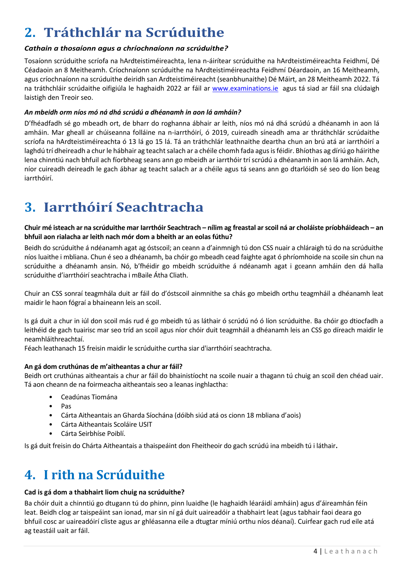## <span id="page-3-0"></span>**2. Tráthchlár na Scrúduithe**

#### *Cathain a thosaíonn agus a chríochnaíonn na scrúduithe?*

Tosaíonn scrúduithe scríofa na hArdteistiméireachta, lena n-áirítear scrúduithe na hArdteistiméireachta Feidhmí, Dé Céadaoin an 8 Meitheamh. Críochnaíonn scrúduithe na hArdteistiméireachta Feidhmí Déardaoin, an 16 Meitheamh, agus críochnaíonn na scrúduithe deiridh san Ardteistiméireacht (seanbhunaithe) Dé Máirt, an 28 Meitheamh 2022. Tá na tráthchláir scrúdaithe oifigiúla le haghaidh 2022 ar fáil ar [www.examinations.ie](http://www.examinations.ie/) agus tá siad ar fáil sna clúdaigh laistigh den Treoir seo.

#### *An mbeidh orm níos mó ná dhá scrúdú a dhéanamh in aon lá amháin?*

D'fhéadfadh sé go mbeadh ort, de bharr do roghanna ábhair ar leith, níos mó ná dhá scrúdú a dhéanamh in aon lá amháin. Mar gheall ar chúiseanna folláine na n-iarrthóirí, ó 2019, cuireadh síneadh ama ar thráthchlár scrúdaithe scríofa na hArdteistiméireachta ó 13 lá go 15 lá. Tá an tráthchlár leathnaithe deartha chun an brú atá ar iarrthóirí a laghdú trí dheireadh a chur le hábhair ag teacht salach ar a chéile chomh fada agus isféidir. Bhíothas ag díriú go háirithe lena chinntiú nach bhfuil ach fíorbheag seans ann go mbeidh ar iarrthóir trí scrúdú a dhéanamh in aon lá amháin. Ach, níor cuireadh deireadh le gach ábhar ag teacht salach ar a chéile agus tá seans ann go dtarlóidh sé seo do líon beag iarrthóirí.

### <span id="page-3-1"></span>**3. Iarrthóirí Seachtracha**

#### **Chuir mé isteach ar na scrúduithe mar Iarrthóir Seachtrach – nílim ag freastal ar scoil ná ar choláiste príobháideach – an bhfuil aon rialacha ar leith nach mór dom a bheith ar an eolas fúthu?**

Beidh do scrúduithe á ndéanamh agat ag óstscoil; an ceann a d'ainmnigh tú don CSS nuair a chláraigh tú do na scrúduithe níos luaithe i mbliana. Chun é seo a dhéanamh, ba chóir go mbeadh cead faighte agat ó phríomhoide na scoile sin chun na scrúduithe a dhéanamh ansin. Nó, b'fhéidir go mbeidh scrúduithe á ndéanamh agat i gceann amháin den dá halla scrúduithe d'iarrthóirí seachtracha i mBaile Átha Cliath.

Chuir an CSS sonraí teagmhála duit ar fáil do d'óstscoil ainmnithe sa chás go mbeidh orthu teagmháil a dhéanamh leat maidir le haon fógraí a bhaineann leis an scoil.

Is gá duit a chur in iúl don scoil más rud é go mbeidh tú as láthair ó scrúdú nó ó líon scrúduithe. Ba chóir go dtiocfadh a leithéid de gach tuairisc mar seo tríd an scoil agus níor chóir duit teagmháil a dhéanamh leis an CSS go díreach maidir le neamhláithreachtaí.

Féach leathanach 15 freisin maidir le scrúduithe curtha siar d'iarrthóirí seachtracha.

#### **An gá dom cruthúnas de m'aitheantas a chur ar fáil?**

Beidh ort cruthúnas aitheantais a chur ar fáil do bhainistíocht na scoile nuair a thagann tú chuig an scoil den chéad uair. Tá aon cheann de na foirmeacha aitheantais seo a leanas inghlactha:

- Ceadúnas Tiomána
- Pas
- Cárta Aitheantais an Gharda Síochána (dóibh siúd atá os cionn 18 mbliana d'aois)
- Cárta Aitheantais Scoláire USIT
- Cárta Seirbhíse Poiblí.

<span id="page-3-2"></span>Is gá duit freisin do Chárta Aitheantais a thaispeáint don Fheitheoir do gach scrúdú ina mbeidh tú i láthair**.**

### **4. I rith na Scrúduithe**

#### **Cad is gá dom a thabhairt liom chuig na scrúduithe?**

Ba chóir duit a chinntiú go dtugann tú do phinn, pinn luaidhe (le haghaidh léaráidí amháin) agus d'áireamhán féin leat. Beidh clog ar taispeáint san ionad, mar sin ní gá duit uaireadóir a thabhairt leat (agus tabhair faoi deara go bhfuil cosc ar uaireadóirí cliste agus ar ghléasanna eile a dtugtar míniú orthu níos déanaí). Cuirfear gach rud eile atá ag teastáil uait ar fáil.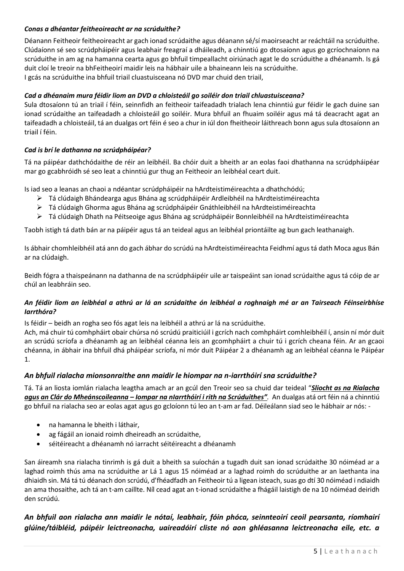#### *Conas a dhéantar feitheoireacht ar na scrúduithe?*

Déanann Feitheoir feitheoireacht ar gach ionad scrúdaithe agus déanann sé/sí maoirseacht ar reáchtáil na scrúduithe. Clúdaíonn sé seo scrúdpháipéir agus leabhair freagraí a dháileadh, a chinntiú go dtosaíonn agus go gcríochnaíonn na scrúduithe in am ag na hamanna cearta agus go bhfuil timpeallacht oiriúnach agat le do scrúduithe a dhéanamh. Is gá duit cloí le treoir na bhFeitheoirí maidir leis na hábhair uile a bhaineann leis na scrúduithe. I gcás na scrúduithe ina bhfuil triail cluastuisceana nó DVD mar chuid den triail,

#### *Cad a dhéanaim mura féidir liom an DVD a chloisteáil go soiléir don triail chluastuisceana?*

Sula dtosaíonn tú an triail í féin, seinnfidh an feitheoir taifeadadh trialach lena chinntiú gur féidir le gach duine san ionad scrúdaithe an taifeadadh a chloisteáil go soiléir. Mura bhfuil an fhuaim soiléir agus má tá deacracht agat an taifeadadh a chloisteáil, tá an dualgas ort féin é seo a chur in iúl don fheitheoir láithreach bonn agus sula dtosaíonn an triail í féin.

#### *Cad is brí le dathanna na scrúdpháipéar?*

Tá na páipéar dathchódaithe de réir an leibhéil. Ba chóir duit a bheith ar an eolas faoi dhathanna na scrúdpháipéar mar go gcabhróidh sé seo leat a chinntiú gur thug an Feitheoir an leibhéal ceart duit.

Is iad seo a leanas an chaoi a ndéantar scrúdpháipéir na hArdteistiméireachta a dhathchódú;

- ➢ Tá clúdaigh Bhándearga agus Bhána ag scrúdpháipéir Ardleibhéil na hArdteistiméireachta
- ➢ Tá clúdaigh Ghorma agus Bhána ag scrúdpháipéir Gnáthleibhéil na hArdteistiméireachta
- ➢ Tá clúdaigh Dhath na Péitseoige agus Bhána ag scrúdpháipéir Bonnleibhéil na hArdteistiméireachta

Taobh istigh tá dath bán ar na páipéir agus tá an teideal agus an leibhéal priontáilte ag bun gach leathanaigh.

Is ábhair chomhleibhéil atá ann do gach ábhar do scrúdú na hArdteistiméireachta Feidhmí agus tá dath Moca agus Bán ar na clúdaigh.

Beidh fógra a thaispeánann na dathanna de na scrúdpháipéir uile ar taispeáint san ionad scrúdaithe agus tá cóip de ar chúl an leabhráin seo.

#### *An féidir liom an leibhéal a athrú ar lá an scrúdaithe ón leibhéal a roghnaigh mé ar an Tairseach Féinseirbhíse Iarrthóra?*

Is féidir – beidh an rogha seo fós agat leis na leibhéil a athrú ar lá na scrúduithe.

Ach, má chuir tú comhpháirt obair chúrsa nó scrúdú praiticiúil i gcrích nach comhpháirt comhleibhéil í, ansin ní mór duit an scrúdú scríofa a dhéanamh ag an leibhéal céanna leis an gcomhpháirt a chuir tú i gcrích cheana féin. Ar an gcaoi chéanna, in ábhair ina bhfuil dhá pháipéar scríofa, ní mór duit Páipéar 2 a dhéanamh ag an leibhéal céanna le Páipéar 1.

#### *An bhfuil rialacha mionsonraithe ann maidir le hiompar na n-iarrthóirí sna scrúduithe?*

Tá. Tá an liosta iomlán rialacha leagtha amach ar an gcúl den Treoir seo sa chuid dar teideal "*Sliocht as na Rialacha agus an Clár do Mheánscoileanna – Iompar na nIarrthóirí i rith na Scrúduithes".* An dualgas atá ort féin ná a chinntiú go bhfuil na rialacha seo ar eolas agat agus go gcloíonn tú leo an t-am ar fad. Déileálann siad seo le hábhair ar nós: -

- na hamanna le bheith i láthair,
- ag fágáil an ionaid roimh dheireadh an scrúdaithe,
- séitéireacht a dhéanamh nó iarracht séitéireacht a dhéanamh

San áireamh sna rialacha tinrimh is gá duit a bheith sa suíochán a tugadh duit san ionad scrúdaithe 30 nóiméad ar a laghad roimh thús ama na scrúduithe ar Lá 1 agus 15 nóiméad ar a laghad roimh do scrúduithe ar an laethanta ina dhiaidh sin. Má tá tú déanach don scrúdú, d'fhéadfadh an Feitheoir tú a ligean isteach, suas go dtí 30 nóiméad i ndiaidh an ama thosaithe, ach tá an t-am caillte. Níl cead agat an t-ionad scrúdaithe a fhágáil laistigh de na 10 nóiméad deiridh den scrúdú.

#### *An bhfuil aon rialacha ann maidir le nótaí, leabhair, fóin phóca, seinnteoirí ceoil pearsanta, ríomhairí glúine/táibléid, páipéir leictreonacha, uaireadóirí cliste nó aon ghléasanna leictreonacha eile, etc. a*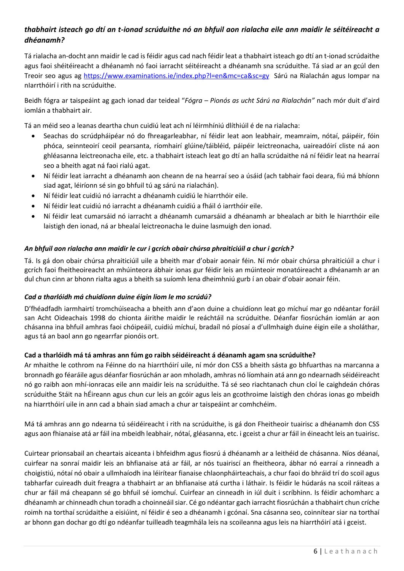#### *thabhairt isteach go dtí an t-ionad scrúduithe nó an bhfuil aon rialacha eile ann maidir le séitéireacht a dhéanamh?*

Tá rialacha an-docht ann maidir le cad is féidir agus cad nach féidir leat a thabhairt isteach go dtí an t-ionad scrúdaithe agus faoi shéitéireacht a dhéanamh nó faoi iarracht séitéireacht a dhéanamh sna scrúduithe. Tá siad ar an gcúl den Treoir seo agus ag <https://www.examinations.ie/index.php?l=en&mc=ca&sc=gy>Sárú na Rialachán agus Iompar na nIarrthóirí i rith na scrúduithe.

Beidh fógra ar taispeáint ag gach ionad dar teideal "*Fógra – Pionós as ucht Sárú na Rialachán"* nach mór duit d'aird iomlán a thabhairt air.

Tá an méid seo a leanas deartha chun cuidiú leat ach ní léirmhíniú dlíthiúil é de na rialacha:

- Seachas do scrúdpháipéar nó do fhreagarleabhar, ní féidir leat aon leabhair, meamraim, nótaí, páipéir, fóin phóca, seinnteoirí ceoil pearsanta, ríomhairí glúine/táibléid, páipéir leictreonacha, uaireadóirí cliste ná aon ghléasanna leictreonacha eile, etc. a thabhairt isteach leat go dtí an halla scrúdaithe ná ní féidir leat na hearraí seo a bheith agat ná faoi rialú agat.
- Ní féidir leat iarracht a dhéanamh aon cheann de na hearraí seo a úsáid (ach tabhair faoi deara, fiú má bhíonn siad agat, léiríonn sé sin go bhfuil tú ag sárú na rialachán).
- Ní féidir leat cuidiú nó iarracht a dhéanamh cuidiú le hiarrthóir eile.
- Ní féidir leat cuidiú nó iarracht a dhéanamh cuidiú a fháil ó iarrthóir eile.
- Ní féidir leat cumarsáid nó iarracht a dhéanamh cumarsáid a dhéanamh ar bhealach ar bith le hiarrthóir eile laistigh den ionad, ná ar bhealaí leictreonacha le duine lasmuigh den ionad.

#### *An bhfuil aon rialacha ann maidir le cur i gcrích obair chúrsa phraiticiúil a chur i gcrích?*

Tá. Is gá don obair chúrsa phraiticiúil uile a bheith mar d'obair aonair féin. Ní mór obair chúrsa phraiticiúil a chur i gcrích faoi fheitheoireacht an mhúinteora ábhair ionas gur féidir leis an múinteoir monatóireacht a dhéanamh ar an dul chun cinn ar bhonn rialta agus a bheith sa suíomh lena dheimhniú gurb í an obair d'obair aonair féin.

#### *Cad a tharlóidh má chuidíonn duine éigin liom le mo scrúdú?*

D'fhéadfadh iarmhairtí tromchúiseacha a bheith ann d'aon duine a chuidíonn leat go míchuí mar go ndéantar foráil san Acht Oideachais 1998 do chionta áirithe maidir le reáchtáil na scrúduithe. Déanfar fiosrúchán iomlán ar aon chásanna ina bhfuil amhras faoi chóipeáil, cuidiú míchuí, bradaíl nó píosaí a d'ullmhaigh duine éigin eile a sholáthar, agus tá an baol ann go ngearrfar pionóis ort.

#### **Cad a tharlóidh má tá amhras ann fúm go raibh séidéireacht á déanamh agam sna scrúduithe?**

Ar mhaithe le cothrom na Féinne do na hiarrthóirí uile, ní mór don CSS a bheith sásta go bhfuarthas na marcanna a bronnadh go féaráile agus déanfar fiosrúchán ar aon mholadh, amhras nó líomhain atá ann go ndearnadh séidéireacht nó go raibh aon mhí-ionracas eile ann maidir leis na scrúduithe. Tá sé seo riachtanach chun cloí le caighdeán chóras scrúduithe Stáit na hÉireann agus chun cur leis an gcóir agus leis an gcothroime laistigh den chóras ionas go mbeidh na hiarrthóirí uile in ann cad a bhain siad amach a chur ar taispeáint ar comhchéim.

Má tá amhras ann go ndearna tú séidéireacht i rith na scrúduithe, is gá don Fheitheoir tuairisc a dhéanamh don CSS agus aon fhianaise atá ar fáil ina mbeidh leabhair, nótaí, gléasanna, etc. i gceist a chur ar fáil in éineacht leis an tuairisc.

Cuirtear prionsabail an cheartais aiceanta i bhfeidhm agus fiosrú á dhéanamh ar a leithéid de chásanna. Níos déanaí, cuirfear na sonraí maidir leis an bhfianaise atá ar fáil, ar nós tuairiscí an fheitheora, ábhar nó earraí a rinneadh a choigistiú, nótaí nó obair a ullmhaíodh ina léirítear fianaise chlaonpháirteachais, a chur faoi do bhráid trí do scoil agus tabharfar cuireadh duit freagra a thabhairt ar an bhfianaise atá curtha i láthair. Is féidir le húdarás na scoil ráiteas a chur ar fáil má cheapann sé go bhfuil sé iomchuí. Cuirfear an cinneadh in iúl duit i scríbhinn. Is féidir achomharc a dhéanamh ar chinneadh chun toradh a choinneáil siar. Cé go ndéantar gach iarracht fiosrúchán a thabhairt chun críche roimh na torthaí scrúdaithe a eisiúint, ní féidir é seo a dhéanamh i gcónaí. Sna cásanna seo, coinnítear siar na torthaí ar bhonn gan dochar go dtí go ndéanfar tuilleadh teagmhála leis na scoileanna agus leis na hiarrthóirí atá i gceist.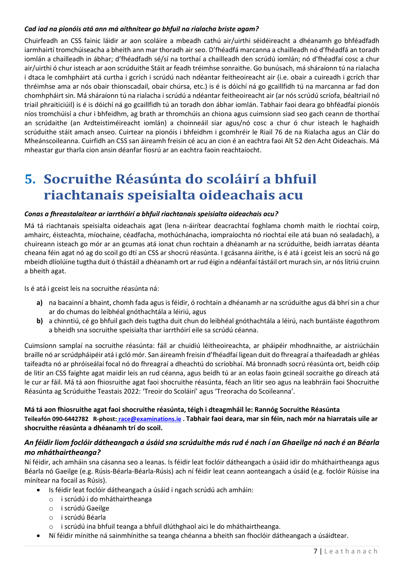#### *Cad iad na pionóis atá ann má aithnítear go bhfuil na rialacha briste agam?*

Chuirfeadh an CSS fainic láidir ar aon scoláire a mbeadh cathú air/uirthi séidéireacht a dhéanamh go bhféadfadh iarmhairtí tromchúiseacha a bheith ann mar thoradh air seo. D'fhéadfá marcanna a chailleadh nó d'fhéadfá an toradh iomlán a chailleadh in ábhar; d'fhéadfadh sé/sí na torthaí a chailleadh den scrúdú iomlán; nó d'fhéadfaí cosc a chur air/uirthi ó chur isteach ar aon scrúduithe Stáit ar feadh tréimhse sonraithe. Go bunúsach, má sháraíonn tú na rialacha i dtaca le comhpháirt atá curtha i gcrích i scrúdú nach ndéantar feitheoireacht air (i.e. obair a cuireadh i gcrích thar thréimhse ama ar nós obair thionscadail, obair chúrsa, etc.) is é is dóichí ná go gcaillfidh tú na marcanna ar fad don chomhpháirt sin. Má sháraíonn tú na rialacha i scrúdú a ndéantar feitheoireacht air (ar nós scrúdú scríofa, béaltriail nó triail phraiticiúil) is é is dóichí ná go gcaillfidh tú an toradh don ábhar iomlán. Tabhair faoi deara go bhféadfaí pionóis níos tromchúisí a chur i bhfeidhm, ag brath ar thromchúis an chiona agus cuimsíonn siad seo gach ceann de thorthaí an scrúdaithe (an Ardteistiméireacht iomlán) a choinneáil siar agus/nó cosc a chur ó chur isteach le haghaidh scrúduithe stáit amach anseo. Cuirtear na pionóis i bhfeidhm i gcomhréir le Riail 76 de na Rialacha agus an Clár do Mheánscoileanna. Cuirfidh an CSS san áireamh freisin cé acu an cion é an eachtra faoi Alt 52 den Acht Oideachais. Má mheastar gur tharla cion ansin déanfar fiosrú ar an eachtra faoin reachtaíocht.

## <span id="page-6-0"></span>**5. Socruithe Réasúnta do scoláirí a bhfuil riachtanais speisialta oideachais acu**

#### *Conas a fhreastalaítear ar iarrthóirí a bhfuil riachtanais speisialta oideachais acu?*

Má tá riachtanais speisialta oideachais agat (lena n-áirítear deacrachtaí foghlama chomh maith le riochtaí coirp, amhairc, éisteachta, míochaine, céadfacha, mothúchánacha, iompraíochta nó riochtaí eile atá buan nó sealadach), a chuireann isteach go mór ar an gcumas atá ionat chun rochtain a dhéanamh ar na scrúduithe, beidh iarratas déanta cheana féin agat nó ag do scoil go dtí an CSS ar shocrú réasúnta. I gcásanna áirithe, is é atá i gceist leis an socrú ná go mbeidh dlíolúine tugtha duit ó thástáil a dhéanamh ort ar rud éigin a ndéanfaí tástáil ort murach sin, ar nós litriú cruinn a bheith agat.

Is é atá i gceist leis na socruithe réasúnta ná:

- **a)** na bacainní a bhaint, chomh fada agus is féidir, ó rochtain a dhéanamh ar na scrúduithe agus dá bhrí sin a chur ar do chumas do leibhéal gnóthachtála a léiriú, agus
- **b)** a chinntiú, cé go bhfuil gach deis tugtha duit chun do leibhéal gnóthachtála a léirú, nach buntáiste éagothrom a bheidh sna socruithe speisialta thar iarrthóirí eile sa scrúdú céanna.

Cuimsíonn samplaí na socruithe réasúnta: fáil ar chuidiú léitheoireachta, ar pháipéir mhodhnaithe, ar aistriúcháin braille nó ar scrúdpháipéir atá i gcló mór. San áireamh freisin d'fhéadfaí ligean duit do fhreagraí a thaifeadadh ar ghléas taifeadta nó ar phróiseálaí focal nó do fhreagraí a dheachtú do scríobhaí. Má bronnadh socrú réasúnta ort, beidh cóip de litir an CSS faighte agat maidir leis an rud céanna, agus beidh tú ar an eolas faoin gcineál socraithe go díreach atá le cur ar fáil. Má tá aon fhiosruithe agat faoi shocruithe réasúnta, féach an litir seo agus na leabhráin faoi Shocruithe Réasúnta ag Scrúduithe Teastais 2022: 'Treoir do Scoláirí' agus 'Treoracha do Scoileanna'.

**Má tá aon fhiosruithe agat faoi shocruithe réasúnta, téigh i dteagmháil le: Rannóg Socruithe Réasúnta Teileafón 090-6442782 R-phost: [race@examinations.ie](mailto:%20race@examinations.ie) . Tabhair faoi deara, mar sin féin, nach mór na hiarratais uile ar shocruithe réasúnta a dhéanamh trí do scoil.**

#### *An féidir liom foclóir dátheangach a úsáid sna scrúduithe más rud é nach í an Ghaeilge nó nach é an Béarla mo mháthairtheanga?*

Ní féidir, ach amháin sna cásanna seo a leanas. Is féidir leat foclóir dátheangach a úsáid idir do mháthairtheanga agus Béarla nó Gaeilge (e.g. Rúsis-Béarla-Béarla-Rúsis) ach ní féidir leat ceann aonteangach a úsáid (e.g. foclóir Rúisise ina mínítear na focail as Rúsis).

- Is féidir leat foclóir dátheangach a úsáid i ngach scrúdú ach amháin:
	- o i scrúdú i do mháthairtheanga
	- o i scrúdú Gaeilge
	- o i scrúdú Béarla
	- o i scrúdú ina bhfuil teanga a bhfuil dlúthghaol aici le do mháthairtheanga.
- Ní féidir mínithe ná sainmhínithe sa teanga chéanna a bheith san fhoclóir dátheangach a úsáidtear.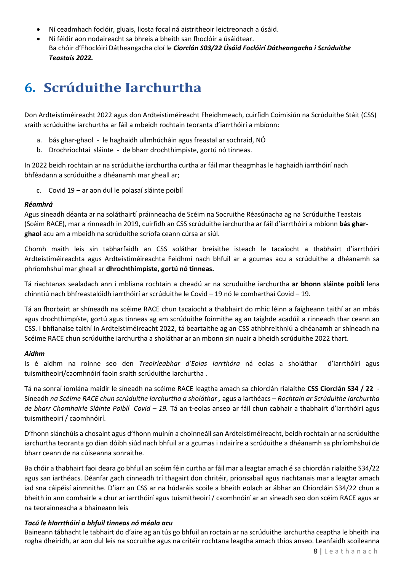- Ní ceadmhach foclóir, gluais, liosta focal ná aistritheoir leictreonach a úsáid.
- Ní féidir aon nodaireacht sa bhreis a bheith san fhoclóir a úsáidtear. Ba chóir d'Fhoclóirí Dátheangacha cloí le *Ciorclán S03/22 Úsáid Foclóirí Dátheangacha i Scrúduithe Teastais 2022.*

## <span id="page-7-0"></span>**6. Scrúduithe Iarchurtha**

Don Ardteistiméireacht 2022 agus don Ardteistiméireacht Fheidhmeach, cuirfidh Coimisiún na Scrúduithe Stáit (CSS) sraith scrúduithe iarchurtha ar fáil a mbeidh rochtain teoranta d'iarrthóirí a mbíonn:

- a. bás ghar-ghaol le haghaidh ullmhúcháin agus freastal ar sochraid, NÓ
- b. Drochriochtaí sláinte de bharr drochthimpiste, gortú nó tinneas.

In 2022 beidh rochtain ar na scrúduithe iarchurtha curtha ar fáil mar theagmhas le haghaidh iarrthóirí nach bhféadann a scrúduithe a dhéanamh mar gheall ar;

c. Covid 19 – ar aon dul le polasaí sláinte poiblí

#### *Réamhrá*

Agus síneadh déanta ar na soláthairtí práinneacha de Scéim na Socruithe Réasúnacha ag na Scrúduithe Teastais (Scéim RACE), mar a rinneadh in 2019, cuirfidh an CSS scrúduithe iarchurtha ar fáil d'iarrthóirí a mbíonn **bás gharghaol** acu am a mbeidh na scrúduithe scríofa ceann cúrsa ar siúl.

Chomh maith leis sin tabharfaidh an CSS soláthar breisithe isteach le tacaíocht a thabhairt d'iarrthóirí Ardteistiméireachta agus Ardteistiméireachta Feidhmí nach bhfuil ar a gcumas acu a scrúduithe a dhéanamh sa phríomhshuí mar gheall ar **dhrochthimpiste, gortú nó tinneas.**

Tá riachtanas sealadach ann i mbliana rochtain a cheadú ar na scruduithe iarchurtha **ar bhonn sláinte poiblí** lena chinntiú nach bhfreastalóidh iarrthóirí ar scrúduithe le Covid – 19 nó le comharthaí Covid – 19.

Tá an fhorbairt ar shíneadh na scéime RACE chun tacaíocht a thabhairt do mhic léinn a faigheann taithí ar an mbás agus drochthimpíste, gortú agus tinneas ag am scrúduithe foirmithe ag an taighde acadúil a rinneadh thar ceann an CSS. I bhfianaise taithí in Ardteistiméireacht 2022, tá beartaithe ag an CSS athbhreithniú a dhéanamh ar shíneadh na Scéime RACE chun scrúduithe iarchurtha a sholáthar ar an mbonn sin nuair a bheidh scrúduithe 2022 thart.

#### *Aidhm*

Is é aidhm na roinne seo den *Treoirleabhar d'Eolas Iarrthóra* ná eolas a sholáthar d'iarrthóirí agus tuismitheoirí/caomhnóirí faoin sraith scrúduithe iarchurtha .

Tá na sonraí iomlána maidir le síneadh na scéime RACE leagtha amach sa chiorclán rialaithe **CSS Ciorclán S34 / 22** - Síneadh *na Scéime RACE chun scrúduithe iarchurtha a sholáthar ,* agus a iarthéacs – *Rochtain ar Scrúduithe Iarchurtha de bharr Chomhairle Sláinte Poiblí Covid – 19.* Tá an t-eolas anseo ar fáil chun cabhair a thabhairt d'iarrthóirí agus tuismitheoirí / caomhnóirí.

D'fhonn slánchúis a chosaint agus d'fhonn muinín a choinneáil san Ardteistiméireacht, beidh rochtain ar na scrúduithe iarchurtha teoranta go dian dóibh siúd nach bhfuil ar a gcumas i ndairíre a scrúduithe a dhéanamh sa phríomhshuí de bharr ceann de na cúiseanna sonraithe.

Ba chóir a thabhairt faoi deara go bhfuil an scéim féin curtha ar fáil mar a leagtar amach é sa chiorclán rialaithe S34/22 agus san iarthéacs. Déanfar gach cinneadh trí thagairt don chritéir, prionsabail agus riachtanais mar a leagtar amach iad sna cáipéisí ainmnithe. D'iarr an CSS ar na húdaráis scoile a bheith eolach ar ábhar an Chiorcláin S34/22 chun a bheith in ann comhairle a chur ar iarrthóirí agus tuismitheoirí / caomhnóirí ar an síneadh seo don scéim RACE agus ar na teorainneacha a bhaineann leis

#### *Tacú le hIarrthóirí a bhfuil tinneas nó méala acu*

Baineann tábhacht le tabhairt do d'aire ag an tús go bhfuil an roctain ar na scrúduithe iarchurtha ceaptha le bheith ina rogha dheiridh, ar aon dul leis na socruithe agus na critéir rochtana leagtha amach thíos anseo. Leanfaidh scoileanna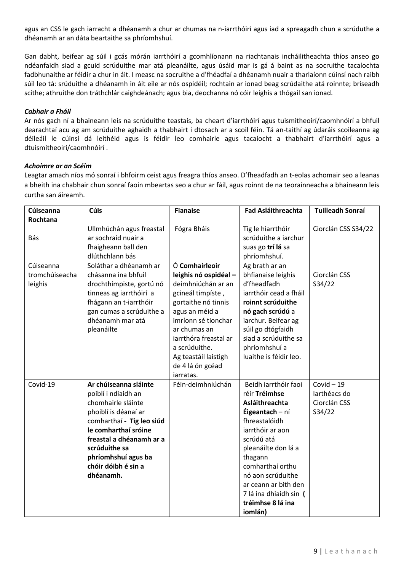agus an CSS le gach iarracht a dhéanamh a chur ar chumas na n-iarrthóirí agus iad a spreagadh chun a scrúduthe a dhéanamh ar an dáta beartaithe sa phríomhshuí.

Gan dabht, beifear ag súil i gcás mórán iarrthóirí a gcomhlíonann na riachtanais incháilitheachta thíos anseo go ndéanfaidh siad a gcuid scrúduithe mar atá pleanáilte, agus úsáid mar is gá á baint as na socruithe tacaíochta fadbhunaithe ar féidir a chur in áit. I measc na socruithe a d'fhéadfaí a dhéanamh nuair a tharlaíonn cúinsí nach raibh súil leo tá: srúduithe a dhéanamh in áit eile ar nós ospidéil; rochtain ar ionad beag scrúdaithe atá roinnte; briseadh scíthe; athruithe don tráthchlár caighdeánach; agus bia, deochanna nó cóir leighis a thógail san ionad.

#### *Cabhair a Fháil*

Ar nós gach ní a bhaineann leis na scrúduithe teastais, ba cheart d'iarrthóirí agus tuismitheoirí/caomhnóirí a bhfuil dearachtaí acu ag am scrúduithe aghaidh a thabhairt i dtosach ar a scoil féin. Tá an-taithí ag údaráis scoileanna ag déileáil le cúinsí dá leithéid agus is féidir leo comhairle agus tacaíocht a thabhairt d'iarrthóirí agus a dtuismitheoirí/caomhnóirí .

#### *Achoimre ar an Scéim*

Leagtar amach níos mó sonraí i bhfoirm ceist agus freagra thíos anseo. D'fheadfadh an t-eolas achomair seo a leanas a bheith ina chabhair chun sonraí faoin mbeartas seo a chur ar fáil, agus roinnt de na teorainneacha a bhaineann leis curtha san áireamh.

| Cúiseanna                              | <b>Cúis</b>                                                                                                                                                                                                                                             | <b>Fianaise</b>                                                                                                                                                                                                                                                       | Fad Asláithreachta                                                                                                                                                                                                                                                                         | <b>Tuilleadh Sonraí</b>                                |
|----------------------------------------|---------------------------------------------------------------------------------------------------------------------------------------------------------------------------------------------------------------------------------------------------------|-----------------------------------------------------------------------------------------------------------------------------------------------------------------------------------------------------------------------------------------------------------------------|--------------------------------------------------------------------------------------------------------------------------------------------------------------------------------------------------------------------------------------------------------------------------------------------|--------------------------------------------------------|
| Rochtana                               |                                                                                                                                                                                                                                                         |                                                                                                                                                                                                                                                                       |                                                                                                                                                                                                                                                                                            |                                                        |
| Bás                                    | Ullmhúchán agus freastal<br>ar sochraid nuair a<br>fhaigheann ball den<br>dlúthchlann bás                                                                                                                                                               | Fógra Bháis                                                                                                                                                                                                                                                           | Tig le hiarrthóir<br>scrúduithe a iarchur<br>suas go trí lá sa<br>phríomhshuí.                                                                                                                                                                                                             | Ciorclán CSS S34/22                                    |
| Cúiseanna<br>tromchúiseacha<br>leighis | Soláthar a dhéanamh ar<br>chásanna ina bhfuil<br>drochthímpiste, gortú nó<br>tinneas ag iarrthóirí a<br>fhágann an t-iarrthóir<br>gan cumas a scrúduithe a<br>dhéanamh mar atá<br>pleanáilte                                                            | Ó Comhairleoir<br>leighis nó ospidéal -<br>deimhniúchán ar an<br>gcineál timpíste,<br>gortaithe nó tinnis<br>agus an méid a<br>imríonn sé tionchar<br>ar chumas an<br>jarrthóra freastal ar<br>a scrúduithe.<br>Ag teastáil laistigh<br>de 4 lá ón gcéad<br>iarratas. | Ag brath ar an<br>bhfianaise leighis<br>d'fheadfadh<br>iarrthóir cead a fháil<br>roinnt scrúduithe<br>nó gach scrúdú a<br>iarchur. Beifear ag<br>súil go dtógfaidh<br>siad a scrúduithe sa<br>phríomhshuí a<br>luaithe is féidir leo.                                                      | Ciorclán CSS<br>S34/22                                 |
| Covid-19                               | Ar chúiseanna sláinte<br>poiblí i ndiaidh an<br>chomhairle sláinte<br>phoiblí is déanaí ar<br>comharthaí - Tig leo siúd<br>le comharthaí sróine<br>freastal a dhéanamh ar a<br>scrúduithe sa<br>phríomhshuí agus ba<br>chóir dóibh é sin a<br>dhéanamh. | Féin-deimhniúchán                                                                                                                                                                                                                                                     | Beidh iarrthóir faoi<br>réir Tréimhse<br>Asláithreachta<br>Éigeantach - ní<br>fhreastalóidh<br>iarrthóir ar aon<br>scrúdú atá<br>pleanáilte don lá a<br>thagann<br>comharthaí orthu<br>nó aon scrúduithe<br>ar ceann ar bith den<br>7 lá ina dhiaidh sin (<br>tréimhse 8 lá ina<br>iomlán) | $Covid - 19$<br>larthéacs do<br>Ciorclán CSS<br>S34/22 |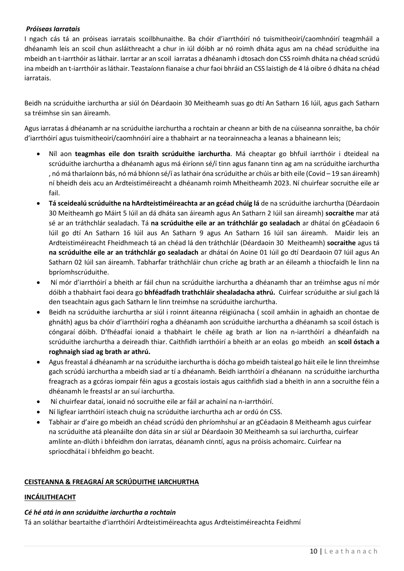#### *Próiseas Iarratais*

I ngach cás tá an próiseas iarratais scoilbhunaithe. Ba chóir d'iarrthóirí nó tuismitheoirí/caomhnóirí teagmháil a dhéanamh leis an scoil chun asláithreacht a chur in iúl dóibh ar nó roimh dháta agus am na chéad scrúduithe ina mbeidh an t-iarrthóir as láthair. Iarrtar ar an scoil iarratas a dhéanamh i dtosach don CSS roimh dháta na chéad scrúdú ina mbeidh an t-iarrthóir as láthair. Teastaíonn fianaise a chur faoi bhráid an CSS laistigh de 4 lá oibre ó dháta na chéad iarratais.

Beidh na scrúduithe iarchurtha ar siúl ón Déardaoin 30 Meitheamh suas go dtí An Satharn 16 Iúil, agus gach Satharn sa tréimhse sin san áireamh.

Agus iarratas á dhéanamh ar na scrúduithe iarchurtha a rochtain ar cheann ar bith de na cúiseanna sonraithe, ba chóir d'iarrthóirí agus tuismitheoirí/caomhnóirí aire a thabhairt ar na teorainneacha a leanas a bhaineann leis;

- Níl aon **teagmhas eile don tsraith scrúduithe iarchurtha**. Má cheaptar go bhfuil iarrthóir i dteideal na scrúduithe iarchurtha a dhéanamh agus má éiríonn sé/í tinn agus fanann tinn ag am na scrúduithe iarchurtha , nó má tharlaíonn bás, nó má bhíonn sé/í as lathair óna scrúduithe ar chúis ar bith eile (Covid – 19 san áireamh) ní bheidh deis acu an Ardteistiméireacht a dhéanamh roimh Mheitheamh 2023. Ní chuirfear socruithe eile ar fail.
- **Tá sceidealú scrúduithe na hArdteistiméireachta ar an gcéad chúig lá** de na scrúduithe iarchurtha (Déardaoin 30 Meitheamh go Máirt 5 Iúil an dá dháta san áireamh agus An Satharn 2 Iúil san áireamh) **socraithe** mar atá sé ar an tráthchlár sealadach. Tá **na scrúduithe eile ar an tráthchlár go sealadach** ar dhátaí ón gCéadaoin 6 Iúil go dtí An Satharn 16 Iúil aus An Satharn 9 agus An Satharn 16 Iúil san áireamh. Maidir leis an Ardteistiméireacht Fheidhmeach tá an chéad lá den tráthchlár (Déardaoin 30 Meitheamh) **socraithe** agus tá **na scrúduithe eile ar an tráthchlár go sealadach** ar dhátaí ón Aoine 01 Iúil go dtí Deardaoin 07 Iúil agus An Satharn 02 Iúil san áireamh. Tabharfar tráthchláir chun críche ag brath ar an éileamh a thiocfaidh le linn na bpríomhscrúduithe.
- Ní mór d'iarrthóirí a bheith ar fáil chun na scrúduithe iarchurtha a dhéanamh thar an tréimhse agus ní mór dóibh a thabhairt faoi deara go **bhféadfadh trathchláir shealadacha athrú.** Cuirfear scrúduithe ar siul gach lá den tseachtain agus gach Satharn le linn treimhse na scrúduithe iarchurtha.
- Beidh na scrúduithe iarchurtha ar siúl i roinnt áiteanna réigiúnacha ( scoil amháin in aghaidh an chontae de ghnáth) agus ba chóir d'iarrthóirí rogha a dhéanamh aon scrúduithe iarchurtha a dhéanamh sa scoil óstach is cóngaraí dóibh. D'fhéadfaí ionaid a thabhairt le chéile ag brath ar líon na n-iarrthóirí a dhéanfaidh na scrúduithe iarchurtha a deireadh thiar. Caithfidh iarrthóirí a bheith ar an eolas go mbeidh an **scoil óstach a roghnaigh siad ag brath ar athrú.**
- Agus freastal á dhéanamh ar na scrúduithe iarchurtha is dócha go mbeidh taisteal go háit eile le linn threimhse gach scrúdú iarchurtha a mbeidh siad ar tí a dhéanamh. Beidh iarrthóirí a dhéanann na scrúduithe iarchurtha freagrach as a gcóras iompair féin agus a gcostais iostais agus caithfidh siad a bheith in ann a socruithe féin a dhéanamh le freastsl ar an suí iarchurtha.
- Ní chuirfear dataí, ionaid nó socruithe eile ar fáil ar achainí na n-iarrthóirí.
- Ní ligfear iarrthóirí isteach chuig na scrúduithe iarchurtha ach ar ordú ón CSS.
- Tabhair ar d'aire go mbeidh an chéad scrúdú den phríomhshuí ar an gCéadaoin 8 Meitheamh agus cuirfear na scrúduithe atá pleanáilte don dáta sin ar siúl ar Déardaoin 30 Meitheamh sa suí iarchurtha, cuirfear amlínte an-dlúth i bhfeidhm don iarratas, déanamh cinntí, agus na próisis achomairc. Cuirfear na spriocdhátaí i bhfeidhm go beacht.

#### **CEISTEANNA & FREAGRAÍ AR SCRÚDUITHE IARCHURTHA**

#### **INCÁILITHEACHT**

#### *Cé hé atá in ann scrúduithe iarchurtha a rochtain*

Tá an soláthar beartaithe d'iarrthóirí Ardteistiméireachta agus Ardteistiméireachta Feidhmí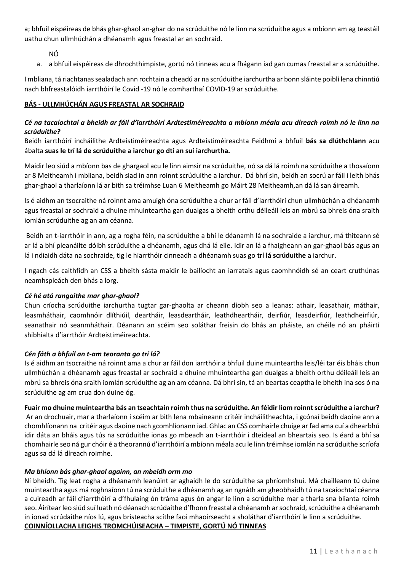a; bhfuil eispéireas de bhás ghar-ghaol an-ghar do na scrúduithe nó le linn na scrúduithe agus a mbíonn am ag teastáil uathu chun ullmhúchán a dhéanamh agus freastal ar an sochraid.

NÓ

a. a bhfuil eispéireas de dhrochthimpiste, gortú nó tinneas acu a fhágann iad gan cumas freastal ar a scrúduithe.

I mbliana, tá riachtanas sealadach ann rochtain a cheadú ar na scrúduithe iarchurtha ar bonn sláinte poiblí lena chinntiú nach bhfreastalóidh iarrthóirí le Covid -19 nó le comharthaí COVID-19 ar scrúduithe.

#### **BÁS - ULLMHÚCHÁN AGUS FREASTAL AR SOCHRAID**

#### *Cé na tacaíochtaí a bheidh ar fáil d'iarrthóirí Ardtestiméireachta a mbíonn méala acu díreach roimh nó le linn na scrúduithe?*

Beidh iarrthóirí incháilithe Ardteistiméireachta agus Ardteistiméireachta Feidhmí a bhfuil **bás sa dlúthchlann** acu ábalta **suas le trí lá de scrúduithe a iarchur go dtí an suí iarchurtha.** 

Maidir leo siúd a mbíonn bas de ghargaol acu le linn aimsir na scrúduithe, nó sa dá lá roimh na scrúduithe a thosaíonn ar 8 Meitheamh i mbliana, beidh siad in ann roinnt scrúduithe a iarchur. Dá bhrí sin, beidh an socrú ar fáil i leith bhás ghar-ghaol a tharlaíonn lá ar bith sa tréimhse Luan 6 Meitheamh go Máirt 28 Meitheamh,an dá lá san áireamh.

Is é aidhm an tsocraithe ná roinnt ama amuigh óna scrúduithe a chur ar fáil d'iarrthóirí chun ullmhúchán a dhéanamh agus freastal ar sochraid a dhuine mhuinteartha gan dualgas a bheith orthu déileáil leis an mbrú sa bhreis óna sraith iomlán scrúduithe ag an am céanna.

Beidh an t-iarrthóir in ann, ag a rogha féin, na scrúduithe a bhí le déanamh lá na sochraide a iarchur, má thiteann sé ar lá a bhí pleanáilte dóibh scrúduithe a dhéanamh, agus dhá lá eile. Idir an lá a fhaigheann an gar-ghaol bás agus an lá i ndiaidh dáta na sochraide, tig le hiarrthóir cinneadh a dhéanamh suas go **trí lá scrúduithe** a iarchur.

I ngach cás caithfidh an CSS a bheith sásta maidir le bailíocht an iarratais agus caomhnóidh sé an ceart cruthúnas neamhspleách den bhás a lorg.

#### *Cé hé atá rangaithe mar ghar-ghaol?*

Chun críocha scrúduithe iarchurtha tugtar gar-ghaolta ar cheann díobh seo a leanas: athair, leasathair, máthair, leasmháthair, caomhnóir dlíthiúil, deartháir, leasdeartháir, leathdheartháir, deirfiúr, leasdeirfiúr, leathdheirfiúr, seanathair nó seanmháthair. Déanann an scéim seo soláthar freisin do bhás an pháiste, an chéile nó an pháirtí shibhialta d'iarrthóir Ardteistiméireachta.

#### *Cén fáth a bhfuil an t-am teoranta go trí lá?*

Is é aidhm an tsocraithe ná roinnt ama a chur ar fáil don iarrthóir a bhfuil duine muinteartha leis/léi tar éis bháis chun ullmhúchán a dhéanamh agus freastal ar sochraid a dhuine mhuinteartha gan dualgas a bheith orthu déileáil leis an mbrú sa bhreis óna sraith iomlán scrúduithe ag an am céanna. Dá bhrí sin, tá an beartas ceaptha le bheith ina sos ó na scrúduithe ag am crua don duine óg.

#### **Fuair mo dhuine muinteartha bás an tseachtain roimh thus na scrúduithe. An féidir liom roinnt scrúduithe a iarchur?**

Ar an drochuair, mar a tharlaíonn i scéim ar bith lena mbaineann critéir incháilitheachta, i gcónaí beidh daoine ann a chomhlíonann na critéir agus daoine nach gcomhlíonann iad. Ghlac an CSS comhairle chuige ar fad ama cuí a dhearbhú idir dáta an bháis agus tús na scrúduithe ionas go mbeadh an t-iarrthóir i dteideal an bheartais seo. Is éard a bhí sa chomhairle seo ná gur chóir é a theorannú d'iarrthóirí a mbíonn méala acu le linn tréimhse iomlán na scrúduithe scríofa agus sa dá lá díreach roimhe.

#### *Ma bhíonn bás ghar-ghaol againn, an mbeidh orm mo*

Ní bheidh. Tig leat rogha a dhéanamh leanúint ar aghaidh le do scrúduithe sa phríomhshuí. Má chailleann tú duine muinteartha agus má roghnaíonn tú na scrúduithe a dhéanamh ag an ngnáth am gheobhaidh tú na tacaíochtaí céanna a cuireadh ar fáil d'iarrthóirí a d'fhulaing ón tráma agus ón angar le linn a scrúduithe mar a tharla sna blianta roimh seo. Áirítear leo siúd suí luath nó déanach scrúdaithe d'fhonn freastal a dhéanamh ar sochraid, scrúduithe a dhéanamh in ionad scrúdaithe níos lú, agus bristeacha scíthe faoi mhaoirseacht a sholáthar d'iarrthóirí le linn a scrúduithe. **COINNÍOLLACHA LEIGHIS TROMCHÚISEACHA – TIMPISTE, GORTÚ NÓ TINNEAS**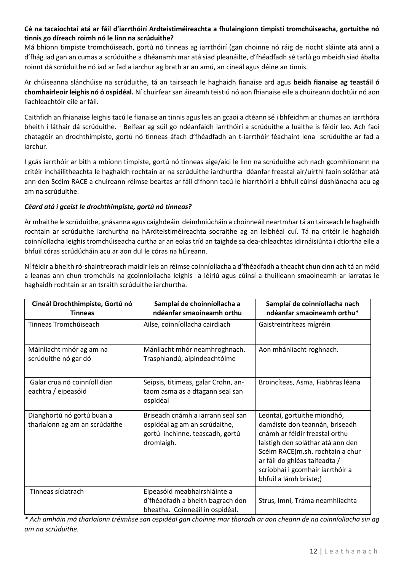#### **Cé na tacaíochtaí atá ar fáil d'iarrthóirí Ardteistiméireachta a fhulaingíonn timpistí tromchúiseacha, gortuithe nó tinnis go díreach roimh nó le linn na scrúduithe?**

Má bhíonn timpiste tromchúiseach, gortú nó tinneas ag iarrthóirí (gan choinne nó ráig de riocht sláinte atá ann) a d'fhág iad gan an cumas a scrúduithe a dhéanamh mar atá siad pleanáilte, d'fhéadfadh sé tarlú go mbeidh siad ábalta roinnt dá scrúduithe nó iad ar fad a iarchur ag brath ar an amú, an cineál agus déine an tinnis.

Ar chúiseanna slánchúise na scrúduithe, tá an tairseach le haghaidh fianaise ard agus **beidh fianaise ag teastáil ó chomhairleoir leighis nó ó ospidéal.** Ní chuirfear san áireamh teistiú nó aon fhianaise eile a chuireann dochtúir nó aon liachleachtóir eile ar fáil.

Caithfidh an fhianaise leighis tacú le fianaise an tinnis agus leis an gcaoi a dtéann sé i bhfeidhm ar chumas an iarrthóra bheith i láthair dá scrúduithe. Beifear ag súil go ndéanfaidh iarrthóirí a scrúduithe a luaithe is féidir leo. Ach faoi chatagóir an drochthimpiste, gortú nó tinneas áfach d'fhéadfadh an t-iarrthóir féachaint lena scrúduithe ar fad a iarchur.

I gcás iarrthóir ar bith a mbíonn timpiste, gortú nó tinneas aige/aici le linn na scrúduithe ach nach gcomhlíonann na critéir incháilitheachta le haghaidh rochtain ar na scrúduithe iarchurtha déanfar freastal air/uirthi faoin soláthar atá ann den Scéim RACE a chuireann réimse beartas ar fáil d'fhonn tacú le hiarrthóirí a bhfuil cúinsí dúshlánacha acu ag am na scrúduithe.

#### *Céard atá i gceist le drochthimpiste, gortú nó tinneas?*

Ar mhaithe le scrúduithe, gnásanna agus caighdeáin deimhniúcháin a choinneáil neartmhar tá an tairseach le haghaidh rochtain ar scrúduithe iarchurtha na hArdteistiméireachta socraithe ag an leibhéal cuí. Tá na critéir le haghaidh coinníollacha leighis tromchúiseacha curtha ar an eolas tríd an taighde sa dea-chleachtas idirnáisiúnta i dtíortha eile a bhfuil córas scrúdúcháin acu ar aon dul le córas na hÉireann.

Ní féidir a bheith ró-shaintreorach maidir leis an réimse coinníollacha a d'fhéadfadh a theacht chun cinn ach tá an méid a leanas ann chun tromchúis na gcoinníollacha leighis a léiriú agus cúinsí a thuilleann smaoineamh ar iarratas le haghaidh rochtain ar an tsraith scrúduithe iarchurtha.

| Cineál Drochthimpiste, Gortú nó<br><b>Tinneas</b>            | Samplaí de choinníollacha a<br>ndéanfar smaoineamh orthu                                                            | Samplaí de coinníollacha nach<br>ndéanfar smaoineamh orthu*                                                                                                                                                                                                             |
|--------------------------------------------------------------|---------------------------------------------------------------------------------------------------------------------|-------------------------------------------------------------------------------------------------------------------------------------------------------------------------------------------------------------------------------------------------------------------------|
| Tinneas Tromchúiseach                                        | Ailse, coinníollacha cairdiach                                                                                      | Gaistreintríteas mígréin                                                                                                                                                                                                                                                |
| Máinliacht mhór ag am na<br>scrúduithe nó gar dó             | Mánliacht mhór neamhroghnach.<br>Trasphlandú, aipindeachtóime                                                       | Aon mhánliacht roghnach.                                                                                                                                                                                                                                                |
| Galar crua nó coinníoll dian<br>eachtra / eipeasóid          | Seipsis, titimeas, galar Crohn, an-<br>taom asma as a dtagann seal san<br>ospidéal                                  | Broincíteas, Asma, Fiabhras léana                                                                                                                                                                                                                                       |
| Dianghortú nó gortú buan a<br>tharlaíonn ag am an scrúdaithe | Briseadh cnámh a iarrann seal san<br>ospidéal ag am an scrúdaithe,<br>gortú inchinne, teascadh, gortú<br>dromlaigh. | Leontaí, gortuithe miondhó,<br>damáiste don teannán, briseadh<br>cnámh ar féidir freastal orthu<br>laistigh den soláthar atá ann den<br>Scéim RACE(m.sh. rochtain a chur<br>ar fáil do ghléas taifeadta /<br>scríobhaí i gcomhair iarrthóir a<br>bhfuil a lámh briste;) |
| Tinneas síciatrach                                           | Eipeasóid meabhairshláinte a<br>d'fhéadfadh a bheith bagrach don<br>bheatha. Coinneáil in ospidéal.                 | Strus, Imní, Tráma neamhliachta                                                                                                                                                                                                                                         |

*\* Ach amháin má tharlaíonn tréimhse san ospidéal gan choinne mar thoradh ar aon cheann de na coinníollacha sin ag am na scrúduithe.*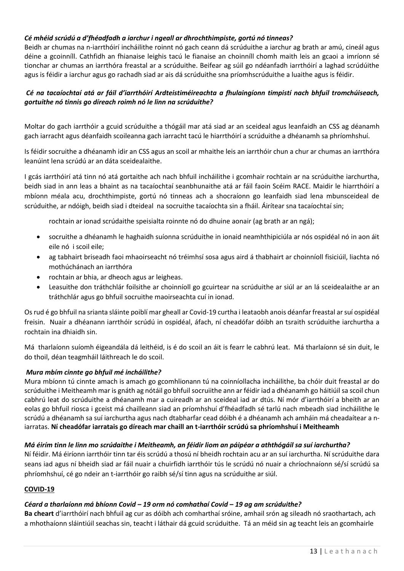#### *Cé mhéid scrúdú a d'fhéadfadh a iarchur i ngeall ar dhrochthimpiste, gortú nó tinneas?*

Beidh ar chumas na n-iarrthóirí incháilithe roinnt nó gach ceann dá scrúduithe a iarchur ag brath ar amú, cineál agus déine a gcoinníll. Cathfidh an fhianaise leighis tacú le fianaise an choinníll chomh maith leis an gcaoi a imríonn sé tionchar ar chumas an iarrthóra freastal ar a scrúduithe. Beifear ag súil go ndéanfadh iarrthóirí a laghad scrúdúithe agus is féidir a iarchur agus go rachadh siad ar ais dá scrúduithe sna príomhscrúduithe a luaithe agus is féidir.

#### *Cé na tacaíochtaí atá ar fáil d'iarrthóirí Ardteistiméireachta a fhulaingíonn timpistí nach bhfuil tromchúiseach, gortuithe nó tinnis go díreach roimh nó le linn na scrúduithe?*

Moltar do gach iarrthóir a gcuid scrúduithe a thógáil mar atá siad ar an sceideal agus leanfaidh an CSS ag déanamh gach iarracht agus déanfaidh scoileanna gach iarracht tacú le hiarrthóirí a scrúduithe a dhéanamh sa phríomhshuí.

Is féidir socruithe a dhéanamh idir an CSS agus an scoil ar mhaithe leis an iarrthóir chun a chur ar chumas an iarrthóra leanúint lena scrúdú ar an dáta sceidealaithe.

I gcás iarrthóirí atá tinn nó atá gortaithe ach nach bhfuil incháilithe i gcomhair rochtain ar na scrúduithe iarchurtha, beidh siad in ann leas a bhaint as na tacaíochtaí seanbhunaithe atá ar fáil faoin Scéim RACE. Maidir le hiarrthóirí a mbíonn méala acu, drochthimpiste, gortú nó tinneas ach a shocraíonn go leanfaidh siad lena mbunsceideal de scrúduithe, ar ndóigh, beidh siad i dteideal na socruithe tacaíochta sin a fháil. Áirítear sna tacaíochtaí sin;

rochtain ar ionad scrúdaithe speisialta roinnte nó do dhuine aonair (ag brath ar an ngá);

- socruithe a dhéanamh le haghaidh suíonna scrúduithe in ionaid neamhthipiciúla ar nós ospidéal nó in aon áit eile nó i scoil eile;
- ag tabhairt briseadh faoi mhaoirseacht nó tréimhsí sosa agus aird á thabhairt ar choinníoll fisiciúil, liachta nó mothúchánach an iarrthóra
- rochtain ar bhia, ar dheoch agus ar leigheas.
- Leasuithe don tráthchlár foilsithe ar choinníoll go gcuirtear na scrúduithe ar siúl ar an lá sceidealaithe ar an tráthchlár agus go bhfuil socruithe maoirseachta cuí in ionad.

Os rud é go bhfuil na srianta sláinte poiblí mar gheall ar Covid-19 curtha i leataobh anois déanfar freastal ar suí ospidéal freisin. Nuair a dhéanann iarrthóir scrúdú in ospidéal, áfach, ní cheadófar dóibh an tsraith scrúduithe iarchurtha a rochtain ina dhiaidh sin.

Má tharlaíonn suíomh éigeandála dá leithéid, is é do scoil an áit is fearr le cabhrú leat. Má tharlaíonn sé sin duit, le do thoil, déan teagmháil láithreach le do scoil.

#### *Mura mbím cinnte go bhfuil mé incháilithe?*

Mura mbíonn tú cinnte amach is amach go gcomhlionann tú na coinníollacha incháilithe, ba chóir duit freastal ar do scrúduithe i Meitheamh mar is gnáth ag nótáil go bhfuil socruiithe ann ar féidir iad a dhéanamh go háitiúil sa scoil chun cabhrú leat do scrúduithe a dhéanamh mar a cuireadh ar an sceideal iad ar dtús. Ní mór d'iarrthóirí a bheith ar an eolas go bhfuil riosca i gceist má chailleann siad an príomhshuí d'fhéadfadh sé tarlú nach mbeadh siad incháilithe le scrúdú a dhéanamh sa suí iarchurtha agus nach dtabharfar cead dóibh é a dhéanamh ach amháin má cheadaítear a niarratas. **Ní cheadófar iarratais go díreach mar chaill an t-iarrthóir scrúdú sa phríomhshuí i Meitheamh**

#### *Má éirím tinn le linn mo scrúdaithe i Meitheamh, an féidir liom an páipéar a aththógáil sa suí iarchurtha?*

Ní féidir. Má éiríonn iarrthóir tinn tar éis scrúdú a thosú ní bheidh rochtain acu ar an suí iarchurtha. Ní scrúduithe dara seans iad agus ní bheidh siad ar fáil nuair a chuirfidh iarrthóir tús le scrúdú nó nuair a chríochnaíonn sé/sí scrúdú sa phríomhshuí, cé go ndeir an t-iarrthóir go raibh sé/sí tinn agus na scrúduithe ar siúl.

#### **COVID-19**

#### *Céard a tharlaíonn má bhíonn Covid – 19 orm nó comhathaí Covid – 19 ag am scrúduithe?*

**Ba cheart** d'iarrthóirí nach bhfuil ag cur as dóibh ach comharthaí sróine, amhail srón ag sileadh nó sraothartach, ach a mhothaíonn sláintiúil seachas sin, teacht i láthair dá gcuid scrúduithe. Tá an méid sin ag teacht leis an gcomhairle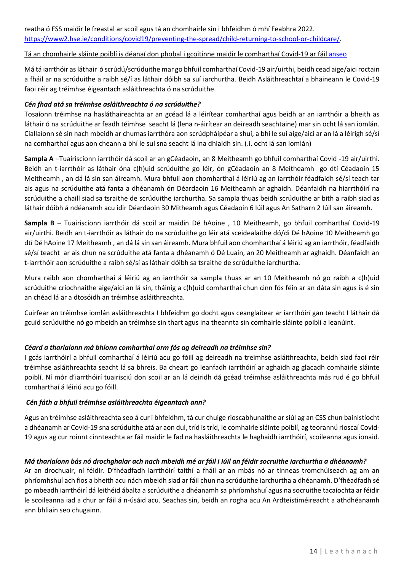reatha ó FSS maidir le freastal ar scoil agus tá an chomhairle sin i bhfeidhm ó mhí Feabhra 2022. [https://www2.hse.ie/conditions/covid19/preventing-the-spread/child-returning-to-school-or-childcare/.](https://www2.hse.ie/conditions/covid19/preventing-the-spread/child-returning-to-school-or-childcare/)

#### Tá an chomhairle sláinte poiblí is déanaí don phobal i gcoitinne maidir le comharthaí Covid-19 ar fáil anseo

Má tá iarrthóir as láthair ó scrúdú/scrúduithe mar go bhfuil comharthaí Covid-19 air/uirthi, beidh cead aige/aici roctain a fháil ar na scrúduithe a raibh sé/í as láthair dóibh sa suí iarchurtha. Beidh Asláithreachtaí a bhaineann le Covid-19 faoi réir ag tréimhse éigeantach asláithreachta ó na scrúduithe.

#### *Cén fhad atá sa tréimhse asláithreachta ó na scrúduithe?*

Tosaíonn tréimhse na hasláthaireachta ar an gcéad lá a léirítear comharthaí agus beidh ar an iarrthóir a bheith as láthair ó na scrúduithe ar feadh téimhse seacht lá (lena n-áirítear an deireadh seachtaine) mar sin ocht lá san iomlán. Ciallaíonn sé sin nach mbeidh ar chumas iarrthóra aon scrúdpháipéar a shuí, a bhí le suí aige/aici ar an lá a léirigh sé/sí na comharthaí agus aon cheann a bhí le suí sna seacht lá ina dhiaidh sin. (.i. ocht lá san iomlán)

**Sampla A** –Tuairiscíonn iarrthóir dá scoil ar an gCéadaoin, an 8 Meitheamh go bhfuil comharthaí Covid -19 air/uirthi. Beidh an t-iarrthóir as láthair óna c(h)uid scrúduithe go léir, ón gCéadaoin an 8 Meitheamh go dtí Céadaoin 15 Meitheamh , an dá lá sin san áireamh. Mura bhfuil aon chomharthaí á léiriú ag an iarrthóir féadfaidh sé/sí teach tar ais agus na scrúduithe atá fanta a dhéanamh ón Déardaoin 16 Meitheamh ar aghaidh. Déanfaidh na hiarrthóirí na scrúduithe a chaill siad sa tsraithe de scrúduithe iarchurtha. Sa sampla thuas beidh scrúduithe ar bith a raibh siad as láthair dóibh á ndéanamh acu idir Déardaoin 30 Mitheamh agus Céadaoin 6 Iúil agus An Satharn 2 Iúil san áireamh.

**Sampla B** – Tuairiscíonn iarrthóir dá scoil ar maidin Dé hAoine , 10 Meitheamh, go bhfuil comharthaí Covid-19 air/uirthi. Beidh an t-iarrthóir as láthair do na scrúduithe go léir atá sceidealaithe dó/di Dé hAoine 10 Meitheamh go dtí Dé hAoine 17 Meitheamh , an dá lá sin san áireamh. Mura bhfuil aon chomharthaí á léiriú ag an iarrthóir, féadfaidh sé/sí teacht ar ais chun na scrúduithe atá fanta a dhéanamh ó Dé Luain, an 20 Meitheamh ar aghaidh. Déanfaidh an t-iarrthóir aon scrúduithe a raibh sé/sí as láthair dóibh sa tsraithe de scrúduithe iarchurtha.

Mura raibh aon chomharthaí á léiriú ag an iarrthóir sa sampla thuas ar an 10 Meitheamh nó go raibh a c(h)uid scrúduithe críochnaithe aige/aici an lá sin, tháinig a c(h)uid comharthaí chun cinn fós féin ar an dáta sin agus is é sin an chéad lá ar a dtosóidh an tréimhse asláithreachta.

Cuirfear an tréimhse iomlán asláithreachta I bhfeidhm go docht agus ceanglaítear ar iarrthóirí gan teacht I láthair dá gcuid scrúduithe nó go mbeidh an tréimhse sin thart agus ina theannta sin comhairle sláinte poiblí a leanúint.

#### *Céard a tharlaíonn má bhíonn comharthaí orm fós ag deireadh na tréimhse sin?*

I gcás iarrthóirí a bhfuil comharthaí á léiriú acu go fóill ag deireadh na treimhse asláithreachta, beidh siad faoi réir tréimhse asláithreachta seacht lá sa bhreis. Ba cheart go leanfadh iarrthóirí ar aghaidh ag glacadh comhairle sláinte poiblí. Ní mór d'iarrthóirí tuairisciú don scoil ar an lá deiridh dá gcéad tréimhse asláithreachta más rud é go bhfuil comharthaí á léiriú acu go fóill.

#### *Cén fáth a bhfuil tréimhse asláithreachta éigeantach ann?*

Agus an tréimhse asláithreachta seo á cur i bhfeidhm, tá cur chuige rioscabhunaithe ar siúl ag an CSS chun bainistíocht a dhéanamh ar Covid-19 sna scrúduithe atá ar aon dul, tríd is tríd, le comhairle sláinte poiblí, ag teorannú rioscaí Covid-19 agus ag cur roinnt cinnteachta ar fáil maidir le fad na hasláithreachta le haghaidh iarrthóirí, scoileanna agus ionaid.

#### *Má tharlaíonn bás nó drochghalar ach nach mbeidh mé ar fáil i Iúil an féidir socruithe iarchurtha a dhéanamh?*

Ar an drochuair, ní féidir. D'fhéadfadh iarrthóirí taithí a fháil ar an mbás nó ar tinneas tromchúiseach ag am an phríomhshuí ach fios a bheith acu nách mbeidh siad ar fáil chun na scrúduithe iarchurtha a dhéanamh. D'fhéadfadh sé go mbeadh iarrthóirí dá leithéid ábalta a scrúduithe a dhéanamh sa phríomhshuí agus na socruithe tacaíochta ar féidir le scoileanna iad a chur ar fáil á n-úsáid acu. Seachas sin, beidh an rogha acu An Ardteistiméireacht a athdhéanamh ann bhliain seo chugainn.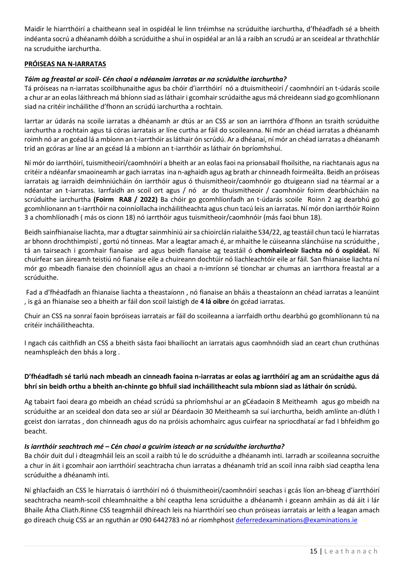Maidir le hiarrthóirí a chaitheann seal in ospidéal le linn tréimhse na scrúduithe iarchurtha, d'fhéadfadh sé a bheith indéanta socrú a dhéanamh dóibh a scrúduithe a shuí in ospidéal ar an lá a raibh an scrudú ar an sceideal ar thrathchlár na scruduithe iarchurtha.

#### **PRÓISEAS NA N-IARRATAS**

#### *Táim ag freastal ar scoil- Cén chaoi a ndéanaim iarratas ar na scrúduithe iarchurtha?*

Tá próiseas na n-iarratas scoilbhunaithe agus ba chóir d'iarrthóirí nó a dtuismitheoirí / caomhnóirí an t-údarás scoile a chur ar an eolas láithreach má bhíonn siad as láthair i gcomhair scrúdaithe agus má chreideann siad go gcomhlíonann siad na critéir incháilithe d'fhonn an scrúdú iarchurtha a rochtain.

Iarrtar ar údarás na scoile iarratas a dhéanamh ar dtús ar an CSS ar son an iarrthóra d'fhonn an tsraith scrúduithe iarchurtha a rochtain agus tá córas iarratais ar líne curtha ar fáil do scoileanna. Ní mór an chéad iarratas a dhéanamh roimh nó ar an gcéad lá a mbíonn an t-iarrthóir as láthair ón scrúdú. Ar a dhéanaí, ní mór an chéad iarratas a dhéanamh tríd an gcóras ar líne ar an gcéad lá a mbíonn an t-iarrthóir as láthair ón bpríomhshuí.

Ní mór do iarrthóirí, tuismitheoirí/caomhnóirí a bheith ar an eolas faoi na prionsabail fhoilsithe, na riachtanais agus na critéir a ndéanfar smaoineamh ar gach iarratas ina n-aghaidh agus ag brath ar chinneadh foirmeálta. Beidh an próiseas iarratais ag iarraidh deimhniúcháin ón iarrthóir agus ó thuismitheoir/caomhnóir go dtuigeann siad na téarmaí ar a ndéantar an t-iarratas. Iarrfaidh an scoil ort agus / nó ar do thuismitheoir / caomhnóir foirm dearbhúcháin na scrúduithe iarchurtha **(Foirm RA8 / 2022)** Ba chóir go gcomhlíonfadh an t-údarás scoileRoinn 2 ag dearbhú go gcomhlíonann an t-iarrthóir na coinníollacha incháilitheachta agus chun tacú leis an iarratas. Ní mór don iarrthóir Roinn 3 a chomhlíonadh ( más os cionn 18) nó iarrthóir agus tuismitheoir/caomhnóir (más faoi bhun 18).

Beidh sainfhianaise liachta, mar a dtugtar sainmhíniú air sa chioirclán rialaithe S34/22, ag teastáil chun tacú le hiarratas ar bhonn drochthimpistí , gortú nó tinneas. Mar a leagtar amach é, ar mhaithe le cúiseanna slánchúise na scrúduithe , tá an tairseach i gcomhair fianaise ard agus beidh fianaise ag teastáil ó **chomhairleoir liachta nó ó ospidéal.** Ní chuirfear san áireamh teistiú nó fianaise eile a chuireann dochtúir nó liachleachtóir eile ar fáil. San fhianaise liachta ní mór go mbeadh fianaise den choinníoll agus an chaoi a n-imríonn sé tionchar ar chumas an iarrthora freastal ar a scrúduithe.

Fad a d'fhéadfadh an fhianaise liachta a theastaíonn , nó fianaise an bháis a theastaíonn an chéad iarratas a leanúint , is gá an fhianaise seo a bheith ar fáil don scoil laistigh de **4 lá oibre** ón gcéad iarratas.

Chuir an CSS na sonraí faoin bpróiseas iarratais ar fáil do scoileanna a iarrfaidh orthu dearbhú go gcomhlíonann tú na critéir incháilitheachta.

I ngach cás caithfidh an CSS a bheith sásta faoi bhailíocht an iarratais agus caomhnóidh siad an ceart chun cruthúnas neamhspleách den bhás a lorg .

#### **D'fhéadfadh sé tarlú nach mbeadh an cinneadh faoina n-iarratas ar eolas ag iarrthóirí ag am an scrúdaithe agus dá bhrí sin beidh orthu a bheith an-chinnte go bhfuil siad incháilitheacht sula mbíonn siad as láthair ón scrúdú.**

Ag tabairt faoi deara go mbeidh an chéad scrúdú sa phríomhshuí ar an gCéadaoin 8 Meitheamh agus go mbeidh na scrúduithe ar an sceideal don data seo ar siúl ar Déardaoin 30 Meitheamh sa suí iarchurtha, beidh amlínte an-dlúth I gceist don iarratas , don chinneadh agus do na próisis achomhairc agus cuirfear na spriocdhataí ar fad I bhfeidhm go beacht.

#### *Is iarrthóir seachtrach mé – Cén chaoi a gcuirim isteach ar na scrúduithe iarchurtha?*

Ba chóir duit dul i dteagmháil leis an scoil a raibh tú le do scrúduithe a dhéanamh inti. Iarradh ar scoileanna socruithe a chur in áit i gcomhair aon iarrthóirí seachtracha chun iarratas a dhéanamh tríd an scoil inna raibh siad ceaptha lena scrúduithe a dhéanamh inti.

Ní ghlacfaidh an CSS le hiarratais ó iarrthóirí nó ó thuismitheoirí/caomhnóirí seachas i gcás líon an-bheag d'iarrthóirí seachtracha neamh-scoil chleamhnaithe a bhí ceaptha lena scrúduithe a dhéanamh i gceann amháin as dá áit i lár Bhaile Átha Cliath.Rinne CSS teagmháil dhíreach leis na hiarrthóirí seo chun próiseas iarratais ar leith a leagan amach go díreach chuig CSS ar an nguthán ar 090 6442783 nó ar ríomhphos[t deferredexaminations@examinations.ie](mailto:deferredexaminations@examinations.ie)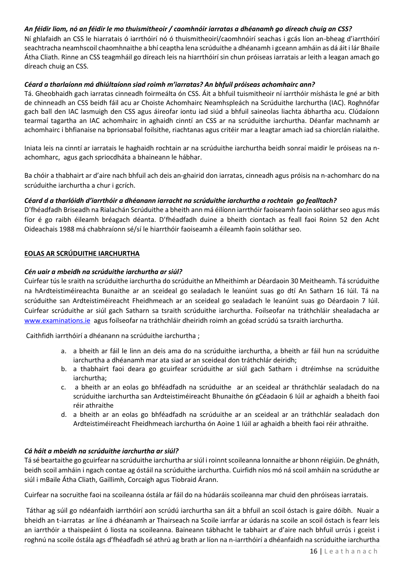#### *An féidir liom, nó an féidir le mo thuismitheoir / caomhnóir iarratas a dhéanamh go díreach chuig an CSS?*

Ní ghlafaidh an CSS le hiarratais ó iarrthóirí nó ó thuismitheoirí/caomhnóirí seachas i gcás líon an-bheag d'iarrthóirí seachtracha neamhscoil chaomhnaithe a bhí ceaptha lena scrúduithe a dhéanamh i gceann amháin as dá áit i lár Bhaile Átha Cliath. Rinne an CSS teagmháil go díreach leis na hiarrthóirí sin chun próiseas iarratais ar leith a leagan amach go díreach chuig an CSS.

#### *Céard a tharlaíonn má dhiúltaíonn siad roimh m'iarratas? An bhfuil próiseas achomhairc ann?*

Tá. Gheobhaidh gach iarratas cinneadh foirmeálta ón CSS. Áit a bhfuil tuismitheoir ní iarrthóir míshásta le gné ar bith de chinneadh an CSS beidh fáil acu ar Choiste Achomhairc Neamhspleách na Scrúduithe Iarchurtha (IAC). Roghnófar gach ball den IAC lasmuigh den CSS agus áireofar iontu iad siúd a bhfuil saineolas liachta ábhartha acu. Clúdaíonn tearmaí tagartha an IAC achomhairc in aghaidh cinntí an CSS ar na scrúduithe iarchurtha. Déanfar machnamh ar achomhairc i bhfianaise na bprionsabal foilsithe, riachtanas agus critéir mar a leagtar amach iad sa chiorclán rialaithe.

Iniata leis na cinntí ar iarratais le haghaidh rochtain ar na scrúduithe iarchurtha beidh sonraí maidir le próiseas na nachomharc, agus gach spriocdháta a bhaineann le hábhar.

Ba chóir a thabhairt ar d'aire nach bhfuil ach deis an-ghairid don iarratas, cinneadh agus próisis na n-achomharc do na scrúduithe iarchurtha a chur i gcrích.

#### *Céard d a tharlóidh d'iarrthóir a dhéanann iarracht na scrúduithe iarchurtha a rochtain go fealltach?*

D'fhéadfadh Briseadh na Rialachán Scrúduithe a bheith ann má éilíonn iarrthóir faoiseamh faoin soláthar seo agus más fíor é go raibh éileamh bréagach déanta. D'fhéadfadh duine a bheith ciontach as feall faoi Roinn 52 den Acht Oideachais 1988 má chabhraíonn sé/sí le hiarrthóir faoiseamh a éileamh faoin soláthar seo.

#### **EOLAS AR SCRÚDUITHE IARCHURTHA**

#### *Cén uair a mbeidh na scrúduithe iarchurtha ar siúl?*

Cuirfear tús le sraith na scrúduithe iarchurtha do scrúduithe an Mheithimh ar Déardaoin 30 Meitheamh. Tá scrúduithe na hArdteistiméireachta Bunaithe ar an sceideal go sealadach le leanúint suas go dtí An Satharn 16 Iúil. Tá na scrúduithe san Ardteistiméireacht Fheidhmeach ar an sceideal go sealadach le leanúint suas go Déardaoin 7 Iúil. Cuirfear scrúduithe ar siúl gach Satharn sa tsraith scrúduithe iarchurtha. Foilseofar na tráthchláir shealadacha ar [www.examinations.ie](http://www.examinations.ie/) agus foilseofar na tráthchláir dheiridh roimh an gcéad scrúdú sa tsraith iarchurtha.

Caithfidh iarrthóirí a dhéanann na scrúduithe iarchurtha ;

- a. a bheith ar fáil le linn an deis ama do na scrúduithe iarchurtha, a bheith ar fáil hun na scrúduithe iarchurtha a dhéanamh mar ata siad ar an sceideal don tráthchlár deiridh;
- b. a thabhairt faoi deara go gcuirfear scrúduithe ar siúl gach Satharn i dtréimhse na scrúduithe iarchurtha;
- c. a bheith ar an eolas go bhféadfadh na scrúduithe ar an sceideal ar thráthchlár sealadach do na scrúduithe iarchurtha san Ardteistiméireacht Bhunaithe ón gCéadaoin 6 Iúil ar aghaidh a bheith faoi réir athraithe
- d. a bheith ar an eolas go bhféadfadh na scrúduithe ar an sceideal ar an tráthchlár sealadach don Ardteistiméireacht Fheidhmeach iarchurtha ón Aoine 1 Iúil ar aghaidh a bheith faoi réir athraithe.

#### *Cá háit a mbeidh na scrúduithe iarchurtha ar siúl?*

Tá sé beartaithe go gcuirfear na scrúduithe iarchurtha ar siúl i roinnt scoileanna lonnaithe ar bhonn réigiúin. De ghnáth, beidh scoil amháin i ngach contae ag óstáil na scrúduithe iarchurtha. Cuirfidh níos mó ná scoil amháin na scrúduthe ar siúl i mBaile Átha Cliath, Gaillimh, Corcaigh agus Tiobraid Árann.

Cuirfear na socruithe faoi na scoileanna óstála ar fáil do na húdaráis scoileanna mar chuid den phróiseas iarratais.

Táthar ag súil go ndéanfaidh iarrthóirí aon scrúdú iarchurtha san áit a bhfuil an scoil óstach is gaire dóibh. Nuair a bheidh an t-iarratas ar líne á dhéanamh ar Thairseach na Scoile iarrfar ar údarás na scoile an scoil óstach is fearr leis an iarrthóir a thaispeáint ó liosta na scoileanna. Baineann tábhacht le tabhairt ar d'aire nach bhfuil urrús i gceist i roghnú na scoile óstála ags d'fhéadfadh sé athrú ag brath ar líon na n-iarrthóirí a dhéanfaidh na scrúduithe iarchurtha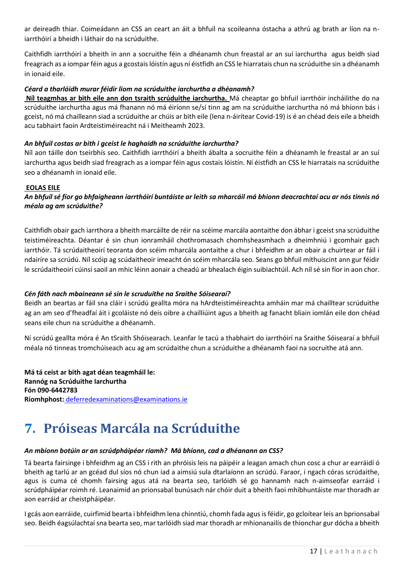ar deireadh thiar. Coimeádann an CSS an ceart an áit a bhfuil na scoileanna óstacha a athrú ag brath ar líon na niarrthóirí a bheidh i láthair do na scrúduithe.

Caithfidh iarrthóirí a bheith in ann a socruithe féin a dhéanamh chun freastal ar an suí iarchurtha agus beidh siad freagrach as a iompar féin agus a gcostais lóistín agus ní éistfidh an CSS le hiarratais chun na scrúduithe sin a dhéanamh in ionaid eile.

#### *Céard a tharlóidh murar féidir liom na scrúduithe iarchurtha a dhéanamh?*

**Níl teagmhas ar bith eile ann don tsraith scrúduithe iarchurtha.** Má cheaptar go bhfuil iarrthóir incháilithe do na scrúduithe iarchurtha agus má fhanann nó má éiríonn se/sí tinn ag am na scrúduithe iarchurtha nó má bhíonn bás i gceist, nó má chailleann siad a scrúduithe ar chúis ar bith eile (lena n-áirítear Covid-19) is é an chéad deis eile a bheidh acu tabhairt faoin Ardteistiméireacht ná i Meitheamh 2023.

#### *An bhfuil costas ar bith i gceist le haghaidh na scrúduithe iarchurtha?*

Níl aon táille don tseirbhís seo. Caithfidh iarrthóirí a bheith ábalta a socruithe féin a dhéanamh le freastal ar an suí iarchurtha agus beidh siad freagrach as a iompar féin agus costais lóistín. Ní éistfidh an CSS le hiarratais na scrúduithe seo a dhéanamh in ionaid eile.

#### **EOLAS EILE**

*An bhfuil sé fíor go bhfaigheann iarrthóirí buntáiste ar leith sa mharcáil má bhionn deacrachtaí acu ar nós tinnis nó méala ag am scrúduithe?*

Caithfidh obair gach iarrthora a bheith marcáilte de réir na scéime marcála aontaithe don ábhar i gceist sna scrúduithe teistiméireachta. Déantar é sin chun ionramháil chothromasach chomhsheasmhach a dheimhniú i gcomhair gach iarrthóir. Tá scrúdaitheoirí teoranta don scéim mharcála aontaithe a chur i bhfeidhm ar an obair a chuirtear ar fáil i ndairíre sa scrúdú. Níl scóip ag scúdaitheoir imeacht ón scéim mharcála seo. Seans go bhfuil míthuiscint ann gur féidir le scrúdaitheoirí cúinsí saoil an mhic léinn aonair a cheadú ar bhealach éigin suibiachtúil. Ach níl sé sin fíor in aon chor.

#### *Cén fáth nach mbaineann sé sin le scruduithe na Sraithe Sóisearaí?*

Beidh an beartas ar fáil sna cláir i scrúdú geallta móra na hArdteistiméireachta amháin mar má chailltear scrúduithe ag an am seo d'fheadfaí áit i gcoláiste nó deis oibre a chailliúint agus a bheith ag fanacht bliain iomlán eile don chéad seans eile chun na scrúduithe a dhéanamh.

Ní scrúdú geallta móra é An tSraith Shóisearach. Leanfar le tacú a thabhairt do iarrthóirí na Sraithe Sóisearaí a bhfuil méala nó tinneas tromchúiseach acu ag am scrúdaithe chun a scrúduithe a dhéanamh faoi na socruithe atá ann.

**Má tá ceist ar bith agat déan teagmháil le: Rannóg na Scrúduithe Iarchurtha Fón 090-6442783 Ríomhphost:** [deferredexaminations@examinations.ie](mailto:%20deferredexaminations@examinations.ie)

## <span id="page-16-0"></span>**7. Próiseas Marcála na Scrúduithe**

#### *An mbíonn botúin ar an scrúdpháipéar riamh? Má bhíonn, cad a dhéanann an CSS?*

Tá bearta fairsinge i bhfeidhm ag an CSS i rith an phróisis leis na páipéir a leagan amach chun cosc a chur ar earráidí ó bheith ag tarlú ar an gcéad dul síos nó chun iad a aimsiú sula dtarlaíonn an scrúdú. Faraor, i ngach córas scrúdaithe, agus is cuma cé chomh fairsing agus atá na bearta seo, tarlóidh sé go hannamh nach n-aimseofar earráid i scrúdpháipéar roimh ré. Leanaimid an prionsabal bunúsach nár chóir duit a bheith faoi mhíbhuntáiste mar thoradh ar aon earráid ar cheistpháipéar.

I gcás aon earráide, cuirfimid bearta i bhfeidhm lena chinntiú, chomh fada agus is féidir, go gcloítear leis an bprionsabal seo. Beidh éagsúlachtaí sna bearta seo, mar tarlóidh siad mar thoradh ar mhionanailís de thionchar gur dócha a bheith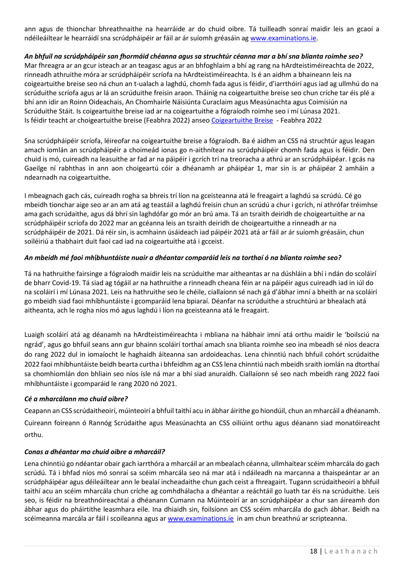ann agus de thionchar bhreathnaithe na hearráide ar do chuid oibre. Tá tuilleadh sonraí maidir leis an gcaoi a ndéileáiltear le hearráidí sna scrúdpháipéir ar fáil ar ár suíomh gréasáin ag [www.examinations.ie.](http://www.examinations.ie/)

#### *An bhfuil na scrúdpháipéir san fhormáid chéanna agus sa struchtúr céanna mar a bhí sna blianta roimhe seo?*

Mar fhreagra ar an gcur isteach ar an teagasc agus ar an bhfoghlaim a bhí ag rang na hArdteistiméireachta de 2022, rinneadh athruithe móra ar scrúdpháipéir scríofa na hArdteistiméireachta. Is é an aidhm a bhaineann leis na coigeartuithe breise seo ná chun an t-ualach a laghdú, chomh fada agus is féidir, d'iarrthóirí agus iad ag ullmhú do na scrúduithe scríofa agus ar lá an scrúduithe freisin araon. Tháinig na coigeartuithe breise seo chun críche tar éis plé a bhí ann idir an Roinn Oideachais, An Chomhairle Náisiúnta Curaclaim agus Measúnachta agus Coimisiún na Scrúduithe Stáit. Is coigeartuithe breise iad ar na coigeartuithe a fógraíodh roimhe seo i mí Lúnasa 2021. Is féidir teacht ar choigeartuithe breise (Feabhra 2022) anse[o Coigeartuithe Breise](https://www.examinations.ie/misc-doc/IR-EX-84966562.pdf) - Feabhra 2022

Sna scrúdpháipéir scríofa, léireofar na coigeartuithe breise a fógraíodh. Ba é aidhm an CSS ná struchtúr agus leagan amach iomlán an scrúdpháipéir a choimeád ionas go n-aithnítear na scrúdpháipéir chomh fada agus is féidir. Den chuid is mó, cuireadh na leasuithe ar fad ar na páipéir i gcrích trí na treoracha a athrú ar an scrúdpháipéar. I gcás na Gaeilge ní rabhthas in ann aon choigeartú cóir a dhéanamh ar pháipéar 1, mar sin is ar pháipéar 2 amháin a ndearnadh na coigeartuithe.

I mbeagnach gach cás, cuireadh rogha sa bhreis trí líon na gceisteanna atá le freagairt a laghdú sa scrúdú. Cé go mbeidh tionchar aige seo ar an am atá ag teastáil a laghdú freisin chun an scrúdú a chur i gcrích, ní athrófar tréimhse ama gach scrúdaithe, agus dá bhrí sin laghdófar go mór an brú ama. Tá an tsraith deiridh de choigeartuithe ar na scrúdpháipéir scríofa do 2022 mar an gcéanna leis an tsraith deiridh de choigeartuithe a rinneadh ar na scrúdpháipéir de 2021. Dá réir sin, is acmhainn úsáideach iad páipéir 2021 atá ar fáil ar ár suíomh gréasáin, chun soiléiriú a thabhairt duit faoi cad iad na coigeartuithe atá i gcceist.

#### *An mbeidh mé faoi mh*í*bhuntáiste nuair a dhéantar comparáid leis na torthaí ó na blianta roimhe seo?*

Tá na hathruithe fairsinge a fógraíodh maidir leis na scrúduithe mar aitheantas ar na dúshláin a bhí i ndán do scoláirí de bharr Covid-19. Tá siad ag tógáil ar na hathruithe a rinneadh cheana féin ar na páipéir agus cuireadh iad in iúl do na scoláirí i mí Lúnasa 2021. Leis na hathruithe seo le chéile, ciallaíonn sé nach gá d'ábhar imní a bheith ar na scoláirí go mbeidh siad faoi mhíbhuntáiste i gcomparáid lena bpiaraí. Déanfar na scrúduithe a struchtúrú ar bhealach atá aitheanta, ach le rogha níos mó agus laghdú i líon na gceisteanna atá le freagairt.

Luaigh scoláirí atá ag déanamh na hArdteistiméireachta i mbliana na hábhair imní atá orthu maidir le 'boilsciú na ngrád', agus go bhfuil seans ann gur bhainn scoláirí torthaí amach sna blianta roimhe seo ina mbeadh sé níos deacra do rang 2022 dul in iomaíocht le haghaidh áiteanna san ardoideachas. Lena chinntiú nach bhfuil cohórt scrúdaithe 2022 faoi mhíbhuntáiste beidh bearta curtha i bhfeidhm ag an CSS lena chinntiú nach mbeidh sraith iomlán na dtorthaí sa chomhiomlán don bhliain seo níos ísle ná mar a bhí siad anuraidh. Ciallaíonn sé seo nach mbeidh rang 2022 faoi mhíbhuntáiste i gcomparáid le rang 2020 nó 2021.

#### *Cé a mharcálann mo chuid oibre?*

Ceapann an CSS scrúdaitheoirí, múinteoirí a bhfuil taithí acu in ábhar áirithe go hiondúil, chun an mharcáil a dhéanamh. Cuireann foireann ó Rannóg Scrúdaithe agus Measúnachta an CSS oiliúint orthu agus déanann siad monatóireacht orthu.

#### *Conas a dhéantar mo chuid oibre a mharcáil?*

Lena chinntiú go ndéantar obair gach iarrthóra a mharcáil ar an mbealach céanna, ullmhaítear scéim mharcála do gach scrúdú. Tá i bhfad níos mó sonraí sa scéim mharcála seo ná mar atá i ndáileadh na marcanna a thaispeántar ar an scrúdpháipéar agus déileáiltear ann le bealaí incheadaithe chun gach ceist a fhreagairt. Tugann scrúdaitheoirí a bhfuil taithí acu an scéim mharcála chun críche ag comhdhálacha a dhéantar a reáchtáil go luath tar éis na scrúduithe. Leis seo, is féidir na breathnóireachtaí a dhéanann Cumann na Múinteoirí ar an scrúdpháipéar a chur san áireamh don ábhar agus do pháirtithe leasmhara eile. Ina dhiaidh sin, foilsíonn an CSS scéim mharcála do gach ábhar. Beidh na scéimeanna marcála ar fáil i scoileanna agus ar [www.examinations.ie](http://www.examinations.ie/) in am chun breathnú ar scripteanna.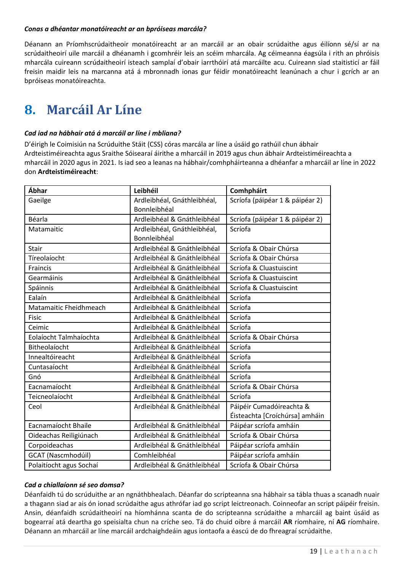#### *Conas a dhéantar monatóireacht ar an bpróiseas marcála?*

Déanann an Príomhscrúdaitheoir monatóireacht ar an marcáil ar an obair scrúdaithe agus éilíonn sé/sí ar na scrúdaitheoirí uile marcáil a dhéanamh i gcomhréir leis an scéim mharcála. Ag céimeanna éagsúla i rith an phróisis mharcála cuireann scrúdaitheoirí isteach samplaí d'obair iarrthóirí atá marcáilte acu. Cuireann siad staitisticí ar fáil freisin maidir leis na marcanna atá á mbronnadh ionas gur féidir monatóireacht leanúnach a chur i gcrích ar an bpróiseas monatóireachta.

### <span id="page-18-0"></span>**8. Marcáil Ar Líne**

#### *Cad iad na hábhair atá á marcáil ar líne i mbliana?*

D'éirigh le Coimisiún na Scrúduithe Stáit (CSS) córas marcála ar líne a úsáid go rathúil chun ábhair Ardteistiméireachta agus Sraithe Sóisearaí áirithe a mharcáil in 2019 agus chun ábhair Ardteistiméireachta a mharcáil in 2020 agus in 2021. Is iad seo a leanas na hábhair/comhpháirteanna a dhéanfar a mharcáil ar líne in 2022 don **Ardteistiméireacht**:

| Ábhar                     | Leibhéil                    | Comhpháirt                      |
|---------------------------|-----------------------------|---------------------------------|
| Gaeilge                   | Ardleibhéal, Gnáthleibhéal, | Scríofa (páipéar 1 & páipéar 2) |
|                           | Bonnleibhéal                |                                 |
| Béarla                    | Ardleibhéal & Gnáthleibhéal | Scríofa (páipéar 1 & páipéar 2) |
| Matamaitic                | Ardleibhéal, Gnáthleibhéal, | Scríofa                         |
|                           | Bonnleibhéal                |                                 |
| <b>Stair</b>              | Ardleibhéal & Gnáthleibhéal | Scríofa & Obair Chúrsa          |
| Tíreolaíocht              | Ardleibhéal & Gnáthleibhéal | Scríofa & Obair Chúrsa          |
| Fraincis                  | Ardleibhéal & Gnáthleibhéal | Scríofa & Cluastuiscint         |
| Gearmáinis                | Ardleibhéal & Gnáthleibhéal | Scríofa & Cluastuiscint         |
| Spáinnis                  | Ardleibhéal & Gnáthleibhéal | Scríofa & Cluastuiscint         |
| Ealaín                    | Ardleibhéal & Gnáthleibhéal | Scríofa                         |
| Matamaitic Fheidhmeach    | Ardleibhéal & Gnáthleibhéal | Scríofa                         |
| <b>Fisic</b>              | Ardleibhéal & Gnáthleibhéal | Scríofa                         |
| Ceimic                    | Ardleibhéal & Gnáthleibhéal | Scríofa                         |
| Eolaíocht Talmhaíochta    | Ardleibhéal & Gnáthleibhéal | Scríofa & Obair Chúrsa          |
| Bitheolaíocht             | Ardleibhéal & Gnáthleibhéal | Scríofa                         |
| Innealtóireacht           | Ardleibhéal & Gnáthleibhéal | Scríofa                         |
| Cuntasaíocht              | Ardleibhéal & Gnáthleibhéal | Scríofa                         |
| Gnó                       | Ardleibhéal & Gnáthleibhéal | Scríofa                         |
| Eacnamaíocht              | Ardleibhéal & Gnáthleibhéal | Scríofa & Obair Chúrsa          |
| Teicneolaíocht            | Ardleibhéal & Gnáthleibhéal | Scríofa                         |
| Ceol                      | Ardleibhéal & Gnáthleibhéal | Páipéir Cumadóireachta &        |
|                           |                             | Éisteachta [Croíchúrsa] amháin  |
| Eacnamaíocht Bhaile       | Ardleibhéal & Gnáthleibhéal | Páipéar scríofa amháin          |
| Oideachas Reiligiúnach    | Ardleibhéal & Gnáthleibhéal | Scríofa & Obair Chúrsa          |
| Corpoideachas             | Ardleibhéal & Gnáthleibhéal | Páipéar scríofa amháin          |
| <b>GCAT (Nascmhodúil)</b> | Comhleibhéal                | Páipéar scríofa amháin          |
| Polaitíocht agus Sochaí   | Ardleibhéal & Gnáthleibhéal | Scríofa & Obair Chúrsa          |

#### *Cad a chiallaíonn sé seo domsa?*

Déanfaidh tú do scrúduithe ar an ngnáthbhealach. Déanfar do scripteanna sna hábhair sa tábla thuas a scanadh nuair a thagann siad ar ais ón ionad scrúdaithe agus athrófar iad go script leictreonach. Coinneofar an script páipéir freisin. Ansin, déanfaidh scrúdaitheoirí na híomhánna scanta de do scripteanna scrúdaithe a mharcáil ag baint úsáid as bogearraí atá deartha go speisialta chun na críche seo. Tá do chuid oibre á marcáil **AR** ríomhaire, ní **AG** ríomhaire. Déanann an mharcáil ar líne marcáil ardchaighdeáin agus iontaofa a éascú de do fhreagraí scrúdaithe.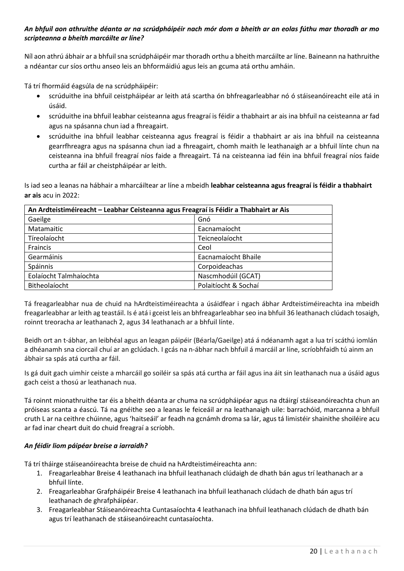#### *An bhfuil aon athruithe déanta ar na scrúdpháipéir nach mór dom a bheith ar an eolas fúthu mar thoradh ar mo scripteanna a bheith marcáilte ar líne?*

Níl aon athrú ábhair ar a bhfuil sna scrúdpháipéir mar thoradh orthu a bheith marcáilte ar líne. Baineann na hathruithe a ndéantar cur síos orthu anseo leis an bhformáidiú agus leis an gcuma atá orthu amháin.

Tá trí fhormáid éagsúla de na scrúdpháipéir:

- scrúduithe ina bhfuil ceistpháipéar ar leith atá scartha ón bhfreagarleabhar nó ó stáiseanóireacht eile atá in úsáid.
- scrúduithe ina bhfuil leabhar ceisteanna agus freagraí is féidir a thabhairt ar ais ina bhfuil na ceisteanna ar fad agus na spásanna chun iad a fhreagairt.
- scrúduithe ina bhfuil leabhar ceisteanna agus freagraí is féidir a thabhairt ar ais ina bhfuil na ceisteanna gearrfhreagra agus na spásanna chun iad a fhreagairt, chomh maith le leathanaigh ar a bhfuil línte chun na ceisteanna ina bhfuil freagraí níos faide a fhreagairt. Tá na ceisteanna iad féin ina bhfuil freagraí níos faide curtha ar fáil ar cheistpháipéar ar leith.

Is iad seo a leanas na hábhair a mharcáiltear ar líne a mbeidh **leabhar ceisteanna agus freagraí is féidir a thabhairt ar ais** acu in 2022:

| An Ardteistiméireacht - Leabhar Ceisteanna agus Freagraí is Féidir a Thabhairt ar Ais |                      |  |  |
|---------------------------------------------------------------------------------------|----------------------|--|--|
| Gaeilge                                                                               | Gnó                  |  |  |
| Matamaitic                                                                            | Eacnamaíocht         |  |  |
| Tíreolaíocht                                                                          | Teicneolaíocht       |  |  |
| Fraincis                                                                              | Ceol                 |  |  |
| Gearmáinis                                                                            | Eacnamaíocht Bhaile  |  |  |
| Spáinnis                                                                              | Corpoideachas        |  |  |
| Eolaíocht Talmhaíochta                                                                | Nascmhodúil (GCAT)   |  |  |
| Bitheolaíocht                                                                         | Polaitíocht & Sochaí |  |  |

Tá freagarleabhar nua de chuid na hArdteistiméireachta a úsáidfear i ngach ábhar Ardteistiméireachta ina mbeidh freagarleabhar ar leith ag teastáil. Is é atá i gceist leis an bhfreagarleabhar seo ina bhfuil 36 leathanach clúdach tosaigh, roinnt treoracha ar leathanach 2, agus 34 leathanach ar a bhfuil línte.

Beidh ort an t-ábhar, an leibhéal agus an leagan páipéir (Béarla/Gaeilge) atá á ndéanamh agat a lua trí scáthú iomlán a dhéanamh sna ciorcail chuí ar an gclúdach. I gcás na n-ábhar nach bhfuil á marcáil ar líne, scríobhfaidh tú ainm an ábhair sa spás atá curtha ar fáil.

Is gá duit gach uimhir ceiste a mharcáil go soiléir sa spás atá curtha ar fáil agus ina áit sin leathanach nua a úsáid agus gach ceist a thosú ar leathanach nua.

Tá roinnt mionathruithe tar éis a bheith déanta ar chuma na scrúdpháipéar agus na dtáirgí stáiseanóireachta chun an próiseas scanta a éascú. Tá na gnéithe seo a leanas le feiceáil ar na leathanaigh uile: barrachóid, marcanna a bhfuil cruth L ar na ceithre chúinne, agus 'haitseáil' ar feadh na gcnámh droma sa lár, agus tá limistéir shainithe shoiléire acu ar fad inar cheart duit do chuid freagraí a scríobh.

#### *An féidir liom páipéar breise a iarraidh?*

Tá trí tháirge stáiseanóireachta breise de chuid na hArdteistiméireachta ann:

- 1. Freagarleabhar Breise 4 leathanach ina bhfuil leathanach clúdaigh de dhath bán agus trí leathanach ar a bhfuil línte.
- 2. Freagarleabhar Grafpháipéir Breise 4 leathanach ina bhfuil leathanach clúdach de dhath bán agus trí leathanach de ghrafpháipéar.
- 3. Freagarleabhar Stáiseanóireachta Cuntasaíochta 4 leathanach ina bhfuil leathanach clúdach de dhath bán agus trí leathanach de stáiseanóireacht cuntasaíochta.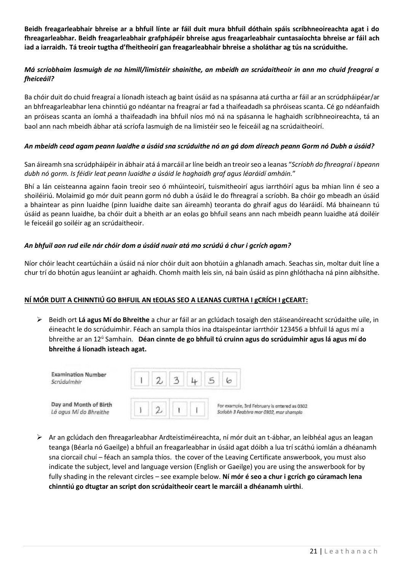**Beidh freagarleabhair bhreise ar a bhfuil línte ar fáil duit mura bhfuil dóthain spáis scríbhneoireachta agat i do fhreagarleabhar. Beidh freagarleabhair grafphápéir bhreise agus freagarleabhair cuntasaíochta bhreise ar fáil ach iad a iarraidh. Tá treoir tugtha d'fheitheoirí gan freagarleabhair bhreise a sholáthar ag tús na scrúduithe.**

#### *Má scríobhaim lasmuigh de na himill/limistéir shainithe, an mbeidh an scrúdaitheoir in ann mo chuid freagraí a fheiceáil?*

Ba chóir duit do chuid freagraí a líonadh isteach ag baint úsáid as na spásanna atá curtha ar fáil ar an scrúdpháipéar/ar an bhfreagarleabhar lena chinntiú go ndéantar na freagraí ar fad a thaifeadadh sa phróiseas scanta. Cé go ndéanfaidh an próiseas scanta an íomhá a thaifeadadh ina bhfuil níos mó ná na spásanna le haghaidh scríbhneoireachta, tá an baol ann nach mbeidh ábhar atá scríofa lasmuigh de na limistéir seo le feiceáil ag na scrúdaitheoirí.

#### *An mbeidh cead agam peann luaidhe a úsáid sna scrúduithe nó an gá dom díreach peann Gorm nó Dubh a úsáid?*

San áireamh sna scrúdpháipéir in ábhair atá á marcáil ar líne beidh an treoir seo a leanas "*Scríobh do fhreagraí i bpeann dubh nó gorm. Is féidir leat peann luaidhe a úsáid le haghaidh graf agus léaráidí amháin.*"

Bhí a lán ceisteanna againn faoin treoir seo ó mhúinteoirí, tuismitheoirí agus iarrthóirí agus ba mhian linn é seo a shoiléiriú. Molaimid go mór duit peann gorm nó dubh a úsáid le do fhreagraí a scríobh. Ba chóir go mbeadh an úsáid a bhaintear as pinn luaidhe (pinn luaidhe daite san áireamh) teoranta do ghraif agus do léaráidí. Má bhaineann tú úsáid as peann luaidhe, ba chóir duit a bheith ar an eolas go bhfuil seans ann nach mbeidh peann luaidhe atá doiléir le feiceáil go soiléir ag an scrúdaitheoir.

#### *An bhfuil aon rud eile nár chóir dom a úsáid nuair atá mo scrúdú á chur i gcrích agam?*

Níor chóir leacht ceartúcháin a úsáid ná níor chóir duit aon bhotúin a ghlanadh amach. Seachas sin, moltar duit líne a chur trí do bhotún agus leanúint ar aghaidh. Chomh maith leis sin, ná bain úsáid as pinn ghlóthacha ná pinn aibhsithe.

#### **NÍ MÓR DUIT A CHINNTIÚ GO BHFUIL AN tEOLAS SEO A LEANAS CURTHA I gCRÍCH I gCEART:**

➢ Beidh ort **Lá agus Mí do Bhreithe** a chur ar fáil ar an gclúdach tosaigh den stáiseanóireacht scrúdaithe uile, in éineacht le do scrúduimhir. Féach an sampla thíos ina dtaispeántar iarrthóir 123456 a bhfuil lá agus mí a bhreithe ar an 12<sup>ú</sup> Samhain. **Déan cinnte de go bhfuil tú cruinn agus do scrúduimhir agus lá agus mí do bhreithe á líonadh isteach agat.**



➢ Ar an gclúdach den fhreagarleabhar Ardteistiméireachta, ní mór duit an t-ábhar, an leibhéal agus an leagan teanga (Béarla nó Gaeilge) a bhfuil an freagarleabhar in úsáid agat dóibh a lua trí scáthú iomlán a dhéanamh sna ciorcail chuí – féach an sampla thíos. the cover of the Leaving Certificate answerbook, you must also indicate the subject, level and language version (English or Gaeilge) you are using the answerbook for by fully shading in the relevant circles – see example below. **Ní mór é seo a chur i gcrích go cúramach lena chinntiú go dtugtar an script don scrúdaitheoir ceart le marcáil a dhéanamh uirthi**.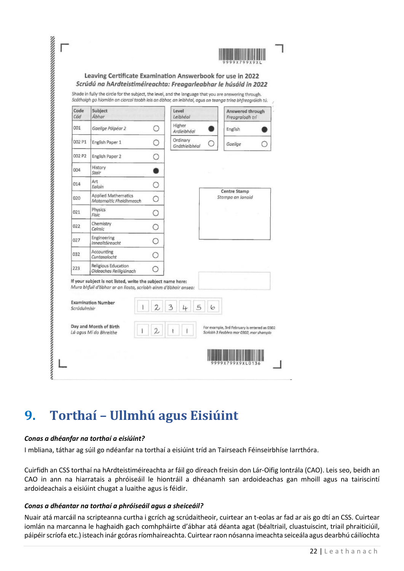| 9999X799X9X |  |
|-------------|--|

#### Leaving Certificate Examination Answerbook for use in 2022 Scrúdú na hArdteistiméireachta: Freagarleabhar le húsáid in 2022

| Code        | Scáthaigh go hiomlán an ciorcal taobh leis an óbhar, an leibhéal, agus an teanga trína bhfreagróidh tú.<br>Subject                                                                   |         | Level                     | Answered through                                                                        |
|-------------|--------------------------------------------------------------------------------------------------------------------------------------------------------------------------------------|---------|---------------------------|-----------------------------------------------------------------------------------------|
| Cód         | Ábhar                                                                                                                                                                                |         | Leibhéal                  | Freagraíodh trí                                                                         |
| 001         | Gaeilge Páipéar 2                                                                                                                                                                    |         | Higher<br>Ardleibhéal     | English                                                                                 |
| 002 P1      | English Paper 1                                                                                                                                                                      | 0       | Ordinary<br>Gnáthleibhéal | Gaeilge                                                                                 |
| 002 P2      | English Paper 2                                                                                                                                                                      | Ω       |                           |                                                                                         |
| 004         | History<br>Stair                                                                                                                                                                     |         |                           |                                                                                         |
| 014         | Art<br><b>Ealain</b>                                                                                                                                                                 |         |                           |                                                                                         |
| 020         | <b>Applied Mathematics</b><br>Matamaitic Fheidhmeach                                                                                                                                 |         |                           | <b>Centre Stamp</b><br>Stampa an Ionaid                                                 |
| 021         | Physics<br>Fisic                                                                                                                                                                     | O       |                           |                                                                                         |
| 022         | Chemistry<br>Ceimic                                                                                                                                                                  |         |                           |                                                                                         |
| 027         | Engineering<br>Innealtóireacht                                                                                                                                                       | O       |                           |                                                                                         |
| 032         | Accounting<br>Cuntasaíocht                                                                                                                                                           | $\circ$ |                           |                                                                                         |
| 223         | Religious Education<br>Oideachas Reiligiúnach                                                                                                                                        |         |                           |                                                                                         |
| Scrúdulmhir | If your subject is not listed, write the subject name here:<br>Mura bhfuil d'ábhar ar an liosta, scríobh ainm d'ábhair anseo:<br><b>Examination Number</b><br>Day and Month of Birth |         | 5                         | For example, 3rd February is entered as 0302<br>Scríobh 3 Feabhra mar 0302, mar shampla |

# <span id="page-21-0"></span>**9. Torthaí – Ullmhú agus Eisiúint**

#### *Conas a dhéanfar na torthaí a eisiúint?*

I mbliana, táthar ag súil go ndéanfar na torthaí a eisiúint tríd an Tairseach Féinseirbhíse Iarrthóra.

Cuirfidh an CSS torthaí na hArdteistiméireachta ar fáil go díreach freisin don Lár-Oifig Iontrála (CAO). Leis seo, beidh an CAO in ann na hiarratais a phróiseáil le hiontráil a dhéanamh san ardoideachas gan mhoill agus na tairiscintí ardoideachais a eisiúint chugat a luaithe agus is féidir.

#### *Conas a dhéantar na torthaí a phróiseáil agus a sheiceáil?*

Nuair atá marcáil na scripteanna curtha i gcrích ag scrúdaitheoir, cuirtear an t-eolas ar fad ar ais go dtí an CSS. Cuirtear iomlán na marcanna le haghaidh gach comhpháirte d'ábhar atá déanta agat (béaltriail, cluastuiscint, triail phraiticiúil, páipéir scríofa etc.) isteach inár gcóras ríomhaireachta. Cuirtear raon nósanna imeachta seiceála agus dearbhú cáilíochta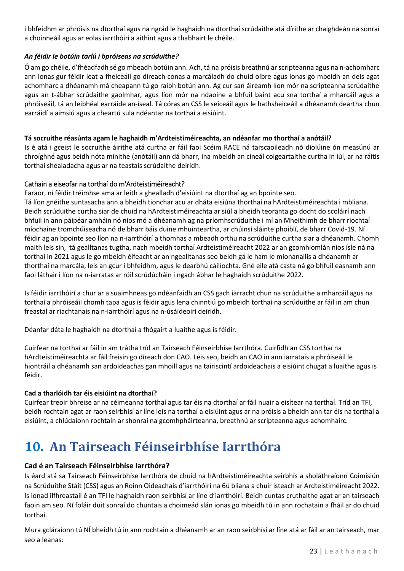i bhfeidhm ar phróisis na dtorthaí agus na ngrád le haghaidh na dtorthaí scrúdaithe atá dírithe ar chaighdeán na sonraí a choinneáil agus ar eolas iarrthóirí a aithint agus a thabhairt le chéile.

#### *An féidir le botúin tarlú i bpróiseas na scrúduithe?*

Ó am go chéile, d'fhéadfadh sé go mbeadh botúin ann. Ach, tá na próisis breathnú ar scripteanna agus na n-achomharc ann ionas gur féidir leat a fheiceáil go díreach conas a marcáladh do chuid oibre agus ionas go mbeidh an deis agat achomharc a dhéanamh má cheapann tú go raibh botún ann. Ag cur san áireamh líon mór na scripteanna scrúdaithe agus an t-ábhar scrúdaithe gaolmhar, agus líon mór na ndaoine a bhfuil baint acu sna torthaí a mharcáil agus a phróiseáil, tá an leibhéal earráide an-íseal. Tá córas an CSS le seiceáil agus le hathsheiceáil a dhéanamh deartha chun earráidí a aimsiú agus a cheartú sula ndéantar na torthaí a eisiúint.

#### **Tá socruithe réasúnta agam le haghaidh m'Ardteistiméireachta, an ndéanfar mo thorthaí a anótáil?**

Is é atá i gceist le socruithe áirithe atá curtha ar fáil faoi Scéim RACE ná tarscaoileadh nó díolúine ón measúnú ar chroíghné agus beidh nóta mínithe (anótáil) ann dá bharr, ina mbeidh an cineál coigeartaithe curtha in iúl, ar na ráitis torthaí shealadacha agus ar na teastais scrúdaithe deiridh.

#### Cathain a eiseofar na torthaí do m'Ardteistiméireacht?

Faraor, ní féidir tréimhse ama ar leith a ghealladh d'eisiúint na dtorthaí ag an bpointe seo.

Tá líon gnéithe suntasacha ann a bheidh tionchar acu ar dháta eisiúna thorthaí na hArdteistiméireachta i mbliana. Beidh scrúduithe curtha siar de chuid na hArdteistiméireachta ar siúl a bheidh teoranta go docht do scoláirí nach bhfuil in ann páipéar amháin nó níos mó a dhéanamh ag na príomhscrúduithe i mí an Mheithimh de bharr riochtaí míochaine tromchúiseacha nó de bharr báis duine mhuinteartha, ar chúinsí sláinte phoiblí, de bharr Covid-19. Ní féidir ag an bpointe seo líon na n-iarrthóirí a thomhas a mbeadh orthu na scrúduithe curtha siar a dhéanamh. Chomh maith leis sin, tá gealltanas tugtha, nach mbeidh torthaí Ardteistiméireacht 2022 ar an gcomhiomlán níos ísle ná na torthaí in 2021 agus le go mbeidh éifeacht ar an ngealltanas seo beidh gá le ham le mionanailís a dhéanamh ar thorthaí na marcála, leis an gcur i bhfeidhm, agus le dearbhú cáilíochta. Gné eile atá casta ná go bhfuil easnamh ann faoi láthair i líon na n-iarratas ar róil scrúdúcháin i ngach ábhar le haghaidh scrúduithe 2022.

Is féidir iarrthóirí a chur ar a suaimhneas go ndéanfaidh an CSS gach iarracht chun na scrúduithe a mharcáil agus na torthaí a phróiseáil chomh tapa agus is féidir agus lena chinntiú go mbeidh torthaí na scrúduithe ar fáil in am chun freastal ar riachtanais na n-iarrthóirí agus na n-úsáideoirí deiridh.

Déanfar dáta le haghaidh na dtorthaí a fhógairt a luaithe agus is féidir.

Cuirfear na torthaí ar fáil in am trátha tríd an Tairseach Féinseirbhíse Iarrthóra. Cuirfidh an CSS torthaí na hArdteistiméireachta ar fáil freisin go díreach don CAO. Leis seo, beidh an CAO in ann iarratais a phróiseáil le hiontráil a dhéanamh san ardoideachas gan mhoill agus na tairiscintí ardoideachais a eisiúint chugat a luaithe agus is féidir.

#### **Cad a tharlóidh tar éis eisiúint na dtorthaí?**

Cuirfear treoir bhreise ar na céimeanna torthaí agus tar éis na dtorthaí ar fáil nuair a eisítear na torthaí. Tríd an TFI, beidh rochtain agat ar raon seirbhísí ar líne leis na torthaí a eisiúint agus ar na próisis a bheidh ann tar éis na torthaí a eisiúint, a chlúdaíonn rochtain ar shonraí na gcomhpháirteanna, breathnú ar scripteanna agus achomhairc.

### <span id="page-22-0"></span>**10. An Tairseach Féinseirbhíse Iarrthóra**

#### **Cad é an Tairseach Féinseirbhíse Iarrthóra?**

Is éard atá sa Tairseach Féinseirbhíse Iarrthóra de chuid na hArdteistiméireachta seirbhís a sholáthraíonn Coimisiún na Scrúduithe Stáit (CSS) agus an Roinn Oideachais d'iarrthóirí na 6ú bliana a chuir isteach ar Ardteistiméireacht 2022. Is ionad ilfhreastail é an TFI le haghaidh raon seirbhísí ar líne d'iarrthóirí. Beidh cuntas cruthaithe agat ar an tairseach faoin am seo. Ní foláir duit sonraí do chuntais a choimeád slán ionas go mbeidh tú in ann rochatain a fháil ar do chuid torthaí.

Mura gcláraíonn tú NÍ bheidh tú in ann rochtain a dhéanamh ar an raon seirbhísí ar líne atá ar fáil ar an tairseach, mar seo a leanas: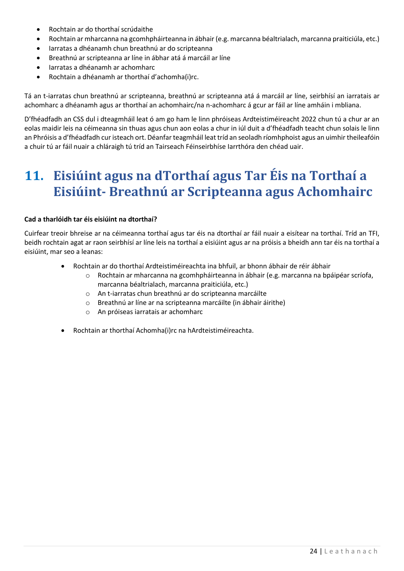- Rochtain ar do thorthaí scrúdaithe
- Rochtain ar mharcanna na gcomhpháirteanna in ábhair (e.g. marcanna béaltrialach, marcanna praiticiúla, etc.)
- Iarratas a dhéanamh chun breathnú ar do scripteanna
- Breathnú ar scripteanna ar líne in ábhar atá á marcáil ar líne
- Iarratas a dhéanamh ar achomharc
- Rochtain a dhéanamh ar thorthaí d'achomha(i)rc.

Tá an t-iarratas chun breathnú ar scripteanna, breathnú ar scripteanna atá á marcáil ar líne, seirbhísí an iarratais ar achomharc a dhéanamh agus ar thorthaí an achomhairc/na n-achomharc á gcur ar fáil ar líne amháin i mbliana.

D'fhéadfadh an CSS dul i dteagmháil leat ó am go ham le linn phróiseas Ardteistiméireacht 2022 chun tú a chur ar an eolas maidir leis na céimeanna sin thuas agus chun aon eolas a chur in iúl duit a d'fhéadfadh teacht chun solais le linn an Phróisis a d'fhéadfadh cur isteach ort. Déanfar teagmháil leat tríd an seoladh ríomhphoist agus an uimhir theileafóin a chuir tú ar fáil nuair a chláraigh tú tríd an Tairseach Féinseirbhíse Iarrthóra den chéad uair.

### <span id="page-23-0"></span>**11. Eisiúint agus na dTorthaí agus Tar Éis na Torthaí a Eisiúint- Breathnú ar Scripteanna agus Achomhairc**

#### **Cad a tharlóidh tar éis eisiúint na dtorthaí?**

Cuirfear treoir bhreise ar na céimeanna torthaí agus tar éis na dtorthaí ar fáil nuair a eisítear na torthaí. Tríd an TFI, beidh rochtain agat ar raon seirbhísí ar líne leis na torthaí a eisiúint agus ar na próisis a bheidh ann tar éis na torthaí a eisiúint, mar seo a leanas:

- Rochtain ar do thorthaí Ardteistiméireachta ina bhfuil, ar bhonn ábhair de réir ábhair
	- o Rochtain ar mharcanna na gcomhpháirteanna in ábhair (e.g. marcanna na bpáipéar scríofa, marcanna béaltrialach, marcanna praiticiúla, etc.)
	- o An t-iarratas chun breathnú ar do scripteanna marcáilte
	- o Breathnú ar líne ar na scripteanna marcáilte (in ábhair áirithe)
	- o An próiseas iarratais ar achomharc
- Rochtain ar thorthaí Achomha(i)rc na hArdteistiméireachta.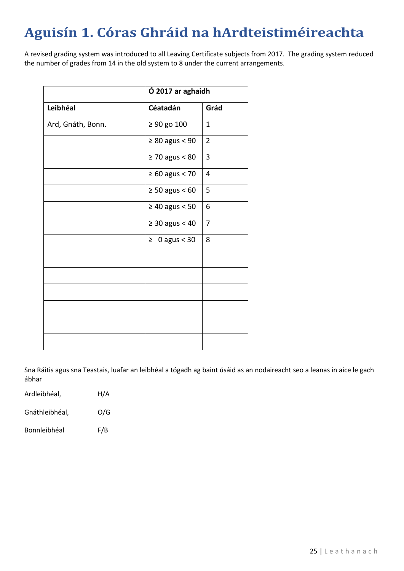## <span id="page-24-0"></span>**Aguisín 1. Córas Ghráid na hArdteistiméireachta**

A revised grading system was introduced to all Leaving Certificate subjects from 2017. The grading system reduced the number of grades from 14 in the old system to 8 under the current arrangements.

|                   | Ó 2017 ar aghaidh   |                |  |
|-------------------|---------------------|----------------|--|
| Leibhéal          | Céatadán            | Grád           |  |
| Ard, Gnáth, Bonn. | $\geq 90$ go 100    | $\mathbf{1}$   |  |
|                   | $\geq 80$ agus < 90 | $\overline{2}$ |  |
|                   | $\geq 70$ agus < 80 | 3              |  |
|                   | $\geq 60$ agus < 70 | $\overline{4}$ |  |
|                   | $\geq 50$ agus < 60 | 5              |  |
|                   | $\geq 40$ agus < 50 | 6              |  |
|                   | $\geq 30$ agus < 40 | $\overline{7}$ |  |
|                   | $\geq 0$ agus < 30  | 8              |  |
|                   |                     |                |  |
|                   |                     |                |  |
|                   |                     |                |  |
|                   |                     |                |  |
|                   |                     |                |  |
|                   |                     |                |  |

Sna Ráitis agus sna Teastais, luafar an leibhéal a tógadh ag baint úsáid as an nodaireacht seo a leanas in aice le gach ábhar

| Ardleibhéal, | H/A |
|--------------|-----|
|              |     |

Gnáthleibhéal, O/G

Bonnleibhéal F/B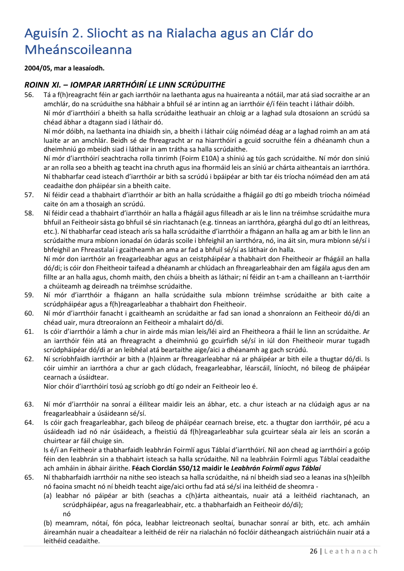## <span id="page-25-0"></span>Aguisín 2. Sliocht as na Rialacha agus an Clár do Mheánscoileanna

**2004/05, mar a leasaíodh.**

#### *ROINN XI. – IOMPAR IARRTHÓIRÍ LE LINN SCRÚDUITHE*

56. Tá a f(h)reagracht féin ar gach iarrthóir na laethanta agus na huaireanta a nótáil, mar atá siad socraithe ar an amchlár, do na scrúduithe sna hábhair a bhfuil sé ar intinn ag an iarrthóir é/í féin teacht i láthair dóibh.

Ní mór d'iarrthóirí a bheith sa halla scrúdaithe leathuair an chloig ar a laghad sula dtosaíonn an scrúdú sa chéad ábhar a dtagann siad i láthair dó.

Ní mór dóibh, na laethanta ina dhiaidh sin, a bheith i láthair cúig nóiméad déag ar a laghad roimh an am atá luaite ar an amchlár. Beidh sé de fhreagracht ar na hiarrthóirí a gcuid socruithe féin a dhéanamh chun a dheimhniú go mbeidh siad i láthair in am trátha sa halla scrúdaithe.

Ní mór d'iarrthóirí seachtracha rolla tinrimh (Foirm E10A) a shíniú ag tús gach scrúdaithe. Ní mór don síniú ar an rolla seo a bheith ag teacht ina chruth agus ina fhormáid leis an síniú ar chárta aitheantais an iarrthóra. Ní thabharfar cead isteach d'iarrthóir ar bith sa scrúdú i bpáipéar ar bith tar éis tríocha nóiméad den am atá ceadaithe don pháipéar sin a bheith caite.

- 57. Ní féidir cead a thabhairt d'iarrthóir ar bith an halla scrúdaithe a fhágáil go dtí go mbeidh tríocha nóiméad caite ón am a thosaigh an scrúdú.
- 58. Ní féidir cead a thabhairt d'iarrthóir an halla a fhágáil agus filleadh ar ais le linn na tréimhse scrúdaithe mura bhfuil an Feitheoir sásta go bhfuil sé sin riachtanach (e.g. tinneas an iarrthóra, géarghá dul go dtí an leithreas, etc.). Ní thabharfar cead isteach arís sa halla scrúdaithe d'iarrthóir a fhágann an halla ag am ar bith le linn an scrúdaithe mura mbíonn ionadaí ón údarás scoile i bhfeighil an iarrthóra, nó, ina áit sin, mura mbíonn sé/sí i bhfeighil an Fhreastalaí i gcaitheamh an ama ar fad a bhfuil sé/sí as láthair ón halla.

Ní mór don iarrthóir an freagarleabhar agus an ceistpháipéar a thabhairt don Fheitheoir ar fhágáil an halla dó/di; is cóir don Fheitheoir taifead a dhéanamh ar chlúdach an fhreagarleabhair den am fágála agus den am fillte ar an halla agus, chomh maith, den chúis a bheith as láthair; ní féidir an t-am a chailleann an t-iarrthóir a chúiteamh ag deireadh na tréimhse scrúdaithe.

- 59. Ní mór d'iarrthóir a fhágann an halla scrúdaithe sula mbíonn tréimhse scrúdaithe ar bith caite a scrúdpháipéar agus a f(h)reagarleabhar a thabhairt don Fheitheoir.
- 60. Ní mór d'iarrthóir fanacht i gcaitheamh an scrúdaithe ar fad san ionad a shonraíonn an Feitheoir dó/di an chéad uair, mura dtreoraíonn an Feitheoir a mhalairt dó/di.
- 61. Is cóir d'iarrthóir a lámh a chur in airde más mian leis/léi aird an Fheitheora a fháil le linn an scrúdaithe. Ar an iarrthóir féin atá an fhreagracht a dheimhniú go gcuirfidh sé/sí in iúl don Fheitheoir murar tugadh scrúdpháipéar dó/di ar an leibhéal atá beartaithe aige/aici a dhéanamh ag gach scrúdú.
- 62. Ní scríobhfaidh iarrthóir ar bith a (h)ainm ar fhreagarleabhar ná ar pháipéar ar bith eile a thugtar dó/di. Is cóir uimhir an iarrthóra a chur ar gach clúdach, freagarleabhar, léarscáil, líníocht, nó bileog de pháipéar cearnach a úsáidtear.

Níor chóir d'iarrthóirí tosú ag scríobh go dtí go ndeir an Feitheoir leo é.

- 63. Ní mór d'iarrthóir na sonraí a éilítear maidir leis an ábhar, etc. a chur isteach ar na clúdaigh agus ar na freagarleabhair a úsáideann sé/sí.
- 64. Is cóir gach freagarleabhar, gach bileog de pháipéar cearnach breise, etc. a thugtar don iarrthóir, pé acu a úsáideadh iad nó nár úsáideach, a fheistiú dá f(h)reagarleabhar sula gcuirtear séala air leis an scorán a chuirtear ar fáil chuige sin.

Is é/í an Feitheoir a thabharfaidh leabhrán Foirmlí agus Táblaí d'iarrthóirí. Níl aon chead ag iarrthóirí a gcóip féin den leabhrán sin a thabhairt isteach sa halla scrúdaithe. Níl na leabhráin Foirmlí agus Táblaí ceadaithe ach amháin in ábhair áirithe. **Féach Ciorclán S50/12 maidir le** *Leabhrán Foirmlí agus Táblaí*

- 65. Ní thabharfaidh iarrthóir na nithe seo isteach sa halla scrúdaithe, ná ní bheidh siad seo a leanas ina s(h)eilbh nó faoina smacht nó ní bheidh teacht aige/aici orthu fad atá sé/sí ina leithéid de sheomra -
	- (a) leabhar nó páipéar ar bith (seachas a c(h)árta aitheantais, nuair atá a leithéid riachtanach, an scrúdpháipéar, agus na freagarleabhair, etc. a thabharfaidh an Feitheoir dó/di); nó

(b) meamram, nótaí, fón póca, leabhar leictreonach seoltaí, bunachar sonraí ar bith, etc. ach amháin áireamhán nuair a cheadaítear a leithéid de réir na rialachán nó foclóir dátheangach aistriúcháin nuair atá a leithéid ceadaithe.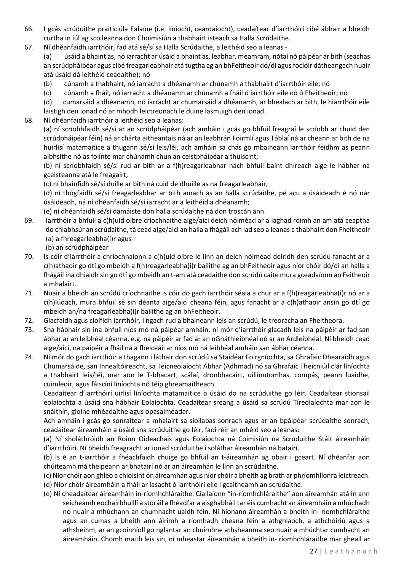- 66. I gcás scrúduithe praiticiúla Ealaíne (i.e. líníocht, ceardaíocht), ceadaítear d'iarrthóirí cibé ábhair a bheidh curtha in iúl ag scoileanna don Choimisiún a thabhairt isteach sa Halla Scrúdaithe.
- 67. Ní dhéanfaidh iarrthóir, fad atá sé/sí sa Halla Scrúdaithe, a leithéid seo a leanas ‐

(a) úsáid a bhaint as, nó iarracht ar úsáid a bhaint as, leabhar, meamram, nótaí nó páipéar ar bith (seachas an scrúdpháipéar agus cibé freagarleabhair atá tugtha ag an bhFeitheoir dó/di agus foclóir dátheangach nuair atá úsáid dá leithéid ceadaithe); nó

- (b) cúnamh a thabhairt, nó iarracht a dhéanamh ar chúnamh a thabhairt d'iarrthóir eile; nó
- (c) cúnamh a fháil, nó iarracht a dhéanamh ar chúnamh a fháil ó iarrthóir eile nó ó Fheitheoir; nó

(d) cumarsáid a dhéanamh, nó iarracht ar chumarsáid a dhéanamh, ar bhealach ar bith, le hiarrthóir eile laistigh den ionad nó ar mhodh leictreonach le duine lasmuigh den ionad.

68. Ní dhéanfaidh iarrthóir a leithéid seo a leanas:

(a) ní scríobhfaidh sé/sí ar an scrúdpháipéar (ach amháin i gcás go bhfuil freagraí le scríobh ar chuid den scrúdpháipéar féin) ná ar chárta aitheantais ná ar an leabhrán Foirmlí agus Táblaí ná ar cheann ar bith de na huirlisí matamaitice a thugann sé/sí leis/léi, ach amháin sa chás go mbaineann iarrthóir feidhm as peann aibhsithe nó as folínte mar chúnamh chun an ceistpháipéar a thuiscint;

(b) ní scríobhfaidh sé/sí rud ar bith ar a f(h)reagarleabhar nach bhfuil baint dhíreach aige le hábhar na gceisteanna atá le freagairt;

(c) ní bhainfidh sé/sí duille ar bith ná cuid de dhuille as na freagarleabhair;

(d) ní thógfaidh sé/sí freagarleabhar ar bith amach as an halla scrúdaithe, pé acu a úsáideadh é nó nár úsáideadh, ná ní dhéanfaidh sé/sí iarracht ar a leithéid a dhéanamh;

(e) ní dhéanfaidh sé/sí damáiste don halla scrúdaithe ná don troscán ann.

- 69. Iarrthóir a bhfuil a c(h)uid oibre críochnaithe aige/aici deich nóiméad ar a laghad roimh an am atá ceaptha do chlabhsúr an scrúdaithe, tá cead aige/aici an halla a fhágáil ach iad seo a leanas a thabhairt don Fheitheoir (a) a fhreagarleabha(i)r agus
	- (b) an scrúdpháipéar
- 70. Is cóir d'iarrthóir a chríochnaíonn a c(h)uid oibre le linn an deich nóiméad deiridh den scrúdú fanacht ar a c(h)athaoir go dtí go mbeidh a f(h)reagarleabha(i)r bailithe ag an bhFeitheoir agus níor chóir dó/di an halla a fhágáil ina dhiaidh sin go dtí go mbeidh an t‐am atá ceadaithe don scrúdú caite mura gceadaíonn an Feitheoir a mhalairt.
- 71. Nuair a bheidh an scrúdú críochnaithe is cóir do gach iarrthóir séala a chur ar a f(h)reagarleabha(i)r nó ar a c(h)lúdach, mura bhfuil sé sin déanta aige/aici cheana féin, agus fanacht ar a c(h)athaoir ansin go dtí go mbeidh an/na freagarleabha(i)r bailithe ag an bhFeitheoir.
- 72. Glacfaidh agus cloífidh iarrthóir, i ngach rud a bhaineann leis an scrúdú, le treoracha an Fheitheora.
- 73. Sna hábhair sin ina bhfuil níos mó ná páipéar amháin, ní mór d'iarrthóir glacadh leis na páipéir ar fad san ábhar ar an leibhéal céanna, e.g. na páipéir ar fad ar an nGnáthleibhéal nó ar an Ardleibhéal. Ní bheidh cead aige/aici, na páipéir a fháil ná a fheiceáil ar níos mó ná leibhéal amháin san ábhar céanna.
- 74. Ní mór do gach iarrthóir a thagann i láthair don scrúdú sa Staidéar Foirgníochta, sa Ghrafaic Dhearaidh agus Chumarsáide, san Innealtóireacht, sa Teicneolaíocht Ábhar (Adhmad) nó sa Ghrafaic Theicniúil clár líníochta a thabhairt leis/léi, mar aon le T‐bhacart, scálaí, dronbhacairt, uillinntomhas, compás, peann luaidhe, cuimleoir, agus fáiscíní líníochta nó téip ghreamaitheach.

Ceadaítear d'iarrthóirí uirlisí líníochta matamaitice a úsáid do na scrúduithe go léir. Ceadaítear stionsail eolaíochta a úsáid sna hábhair Eolaíochta. Ceadaítear sreang a úsáid sa scrúdú Tíreolaíochta mar aon le snáithín, gloine mhéadaithe agus opasaiméadar.

Ach amháin i gcás go sonraítear a mhalairt sa siollabas sonrach agus ar an bpáipéar scrúdaithe sonrach, ceadaítear áireamháin a úsáid sna scrúduithe go léir, faoi réir an mhéid seo a leanas:

(a) Ní sholáthróidh an Roinn Oideachais agus Eolaíochta ná Coimisiún na Scrúduithe Stáit áireamháin d'iarrthóirí. Ní bheidh freagracht ar ionad scrúduithe i soláthar áireamhán ná batairí.

(b) Is é an t‐iarrthóir a fhéachfaidh chuige go bhfuil an t‐áireamhán ag obair i gceart. Ní dhéanfar aon chúiteamh má theipeann ar bhatairí nó ar an áireamhán le linn an scrúdaithe.

(c) Níor chóir aon ghleo a chloisint ón áireamhán agus níor chóir a bheith ag brath ar phríomhlíonra leictreach. (d) Níor chóir áireamháin a fháil ar iasacht ó iarrthóirí eile i gcaitheamh an scrúdaithe.

(e) Ní cheadaítear áireamháin in‐ríomhchláraithe. Ciallaíonn "in‐ríomhchláraithe" aon áireamhán atá in ann seicheamh eochairbhuillí a stóráil a fhéadfar a aisghabháil tar éis cumhacht an áireamháin a mhúchadh nó nuair a mhúchann an chumhacht uaidh féin. Ní hionann áireamhán a bheith in‐ ríomhchláraithe agus an cumas a bheith ann áirimh a ríomhadh cheana féin a athghlaoch, a athchóiriú agus a athsheinm, ar an gcoinníoll go nglantar an chuimhne athsheanma seo nuair a mhúchtar cumhacht an áireamháin. Chomh maith leis sin, ní mheastar áireamhán a bheith in‐ ríomhchláraithe mar gheall ar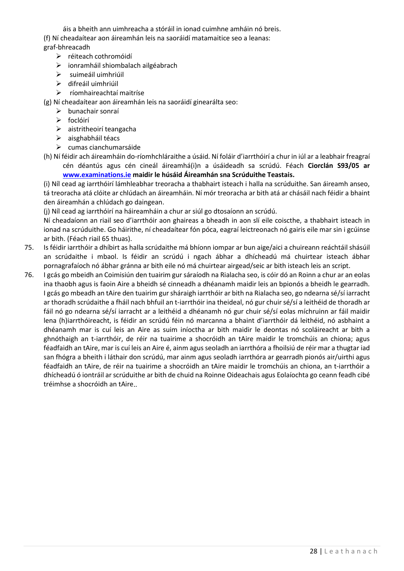áis a bheith ann uimhreacha a stóráil in ionad cuimhne amháin nó breis. (f) Ní cheadaítear aon áireamhán leis na saoráidí matamaitice seo a leanas: graf‐bhreacadh

- ➢ réiteach cothromóidí
- ➢ ionramháil shiombalach ailgéabrach
- ➢ suimeáil uimhriúil
- ➢ difreáil uimhriúil
- ➢ ríomhaireachtaí maitríse

(g) Ní cheadaítear aon áireamhán leis na saoráidí ginearálta seo:

- ➢ bunachair sonraí
- ➢ foclóirí
- ➢ aistritheoirí teangacha
- ➢ aisghabháil téacs
- ➢ cumas cianchumarsáide

(h) Ní féidir ach áireamháin do-ríomhchláraithe a úsáid. Ní foláir d'iarrthóirí a chur in iúl ar a leabhair freagraí cén déantús agus cén cineál áireamhá(i)n a úsáideadh sa scrúdú. Féach **Ciorclán S93/05 ar [www.examinations.ie](http://www.examinations.ie/) maidir le húsáid Áireamhán sna Scrúduithe Teastais.**

(i) Níl cead ag iarrthóirí lámhleabhar treoracha a thabhairt isteach i halla na scrúduithe. San áireamh anseo, tá treoracha atá clóite ar chlúdach an áireamháin. Ní mór treoracha ar bith atá ar chásáil nach féidir a bhaint den áireamhán a chlúdach go daingean.

(j) Níl cead ag iarrthóirí na háireamháin a chur ar siúl go dtosaíonn an scrúdú.

Ní cheadaíonn an riail seo d'iarrthóir aon ghaireas a bheadh in aon slí eile coiscthe, a thabhairt isteach in ionad na scrúduithe. Go háirithe, ní cheadaítear fón póca, eagraí leictreonach nó gairis eile mar sin i gcúinse ar bith. (Féach riail 65 thuas).

- 75. Is féidir iarrthóir a dhíbirt as halla scrúdaithe má bhíonn iompar ar bun aige/aici a chuireann reáchtáil shásúil an scrúdaithe i mbaol. Is féidir an scrúdú i ngach ábhar a dhícheadú má chuirtear isteach ábhar pornagrafaíoch nó ábhar gránna ar bith eile nó má chuirtear airgead/seic ar bith isteach leis an script.
- 76. I gcás go mbeidh an Coimisiún den tuairim gur sáraíodh na Rialacha seo, is cóir dó an Roinn a chur ar an eolas ina thaobh agus is faoin Aire a bheidh sé cinneadh a dhéanamh maidir leis an bpionós a bheidh le gearradh. I gcás go mbeadh an tAire den tuairim gur sháraigh iarrthóir ar bith na Rialacha seo, go ndearna sé/sí iarracht ar thoradh scrúdaithe a fháil nach bhfuil an t‐iarrthóir ina theideal, nó gur chuir sé/sí a leithéid de thoradh ar fáil nó go ndearna sé/sí iarracht ar a leithéid a dhéanamh nó gur chuir sé/sí eolas míchruinn ar fáil maidir lena (h)iarrthóireacht, is féidir an scrúdú féin nó marcanna a bhaint d'iarrthóir dá leithéid, nó asbhaint a dhéanamh mar is cuí leis an Aire as suim iníoctha ar bith maidir le deontas nó scoláireacht ar bith a ghnóthaigh an t‐iarrthóir, de réir na tuairime a shocróidh an tAire maidir le tromchúis an chiona; agus féadfaidh an tAire, mar is cuí leis an Aire é, ainm agus seoladh an iarrthóra a fhoilsiú de réir mar a thugtar iad san fhógra a bheith i láthair don scrúdú, mar ainm agus seoladh iarrthóra ar gearradh pionós air/uirthi agus féadfaidh an tAire, de réir na tuairime a shocróidh an tAire maidir le tromchúis an chiona, an t‐iarrthóir a dhícheadú ó iontráil ar scrúduithe ar bith de chuid na Roinne Oideachais agus Eolaíochta go ceann feadh cibé tréimhse a shocróidh an tAire..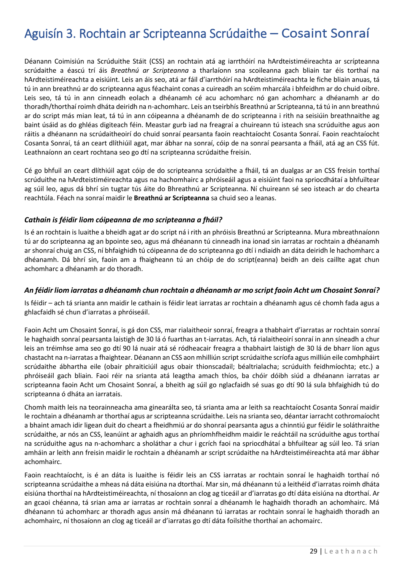### <span id="page-28-0"></span>Aguisín 3. Rochtain ar Scripteanna Scrúdaithe – Cosaint Sonraí

Déanann Coimisiún na Scrúduithe Stáit (CSS) an rochtain atá ag iarrthóirí na hArdteistiméireachta ar scrípteanna scrúdaithe a éascú trí áis *Breathnú ar Scripteanna* a tharlaíonn sna scoileanna gach bliain tar éis torthaí na hArdteistiméireachta a eisiúint. Leis an áis seo, atá ar fáil d'iarrthóirí na hArdteistiméireachta le fiche bliain anuas, tá tú in ann breathnú ar do scripteanna agus féachaint conas a cuireadh an scéim mharcála i bhfeidhm ar do chuid oibre. Leis seo, tá tú in ann cinneadh eolach a dhéanamh cé acu achomharc nó gan achomharc a dhéanamh ar do thoradh/thorthaí roimh dháta deiridh na n-achomharc. Leis an tseirbhís Breathnú ar Scripteanna, tá tú in ann breathnú ar do script más mian leat, tá tú in ann cóipeanna a dhéanamh de do scripteanna i rith na seisiúin breathnaithe ag baint úsáid as do ghléas digiteach féin. Meastar gurb iad na freagraí a chuireann tú isteach sna scrúduithe agus aon ráitis a dhéanann na scrúdaitheoirí do chuid sonraí pearsanta faoin reachtaíocht Cosanta Sonraí. Faoin reachtaíocht Cosanta Sonraí, tá an ceart dlíthiúil agat, mar ábhar na sonraí, cóip de na sonraí pearsanta a fháil, atá ag an CSS fút. Leathnaíonn an ceart rochtana seo go dtí na scripteanna scrúdaithe freisin.

Cé go bhfuil an ceart dlíthiúil agat cóip de do scripteanna scrúdaithe a fháil, tá an dualgas ar an CSS freisin torthaí scrúduithe na hArdteistiméireachta agus na hachomhairc a phróiseáil agus a eisiúint faoi na spriocdhátaí a bhfuiltear ag súil leo, agus dá bhrí sin tugtar tús áite do Bhreathnú ar Scripteanna. Ní chuireann sé seo isteach ar do chearta reachtúla. Féach na sonraí maidir le **Breathnú ar Scripteanna** sa chuid seo a leanas.

#### *Cathain is féidir liom cóipeanna de mo scripteanna a fháil?*

Is é an rochtain is luaithe a bheidh agat ar do script ná i rith an phróisis Breathnú ar Scripteanna. Mura mbreathnaíonn tú ar do scripteanna ag an bpointe seo, agus má dhéanann tú cinneadh ina ionad sin iarratas ar rochtain a dhéanamh ar shonraí chuig an CSS, ní bhfaighidh tú cóipeanna de do scripteanna go dtí i ndiaidh an dáta deiridh le hachomharc a dhéanamh. Dá bhrí sin, faoin am a fhaigheann tú an chóip de do script(eanna) beidh an deis caillte agat chun achomharc a dhéanamh ar do thoradh.

#### *An féidir liom iarratas a dhéanamh chun rochtain a dhéanamh ar mo script faoin Acht um Chosaint Sonraí?*

Is féidir – ach tá srianta ann maidir le cathain is féidir leat iarratas ar rochtain a dhéanamh agus cé chomh fada agus a ghlacfaidh sé chun d'iarratas a phróiseáil.

Faoin Acht um Chosaint Sonraí, is gá don CSS, mar rialaitheoir sonraí, freagra a thabhairt d'iarratas ar rochtain sonraí le haghaidh sonraí pearsanta laistigh de 30 lá ó fuarthas an t-iarratas. Ach, tá rialaitheoirí sonraí in ann síneadh a chur leis an tréimhse ama seo go dtí 90 lá nuair atá sé ródheacair freagra a thabhairt laistigh de 30 lá de bharr líon agus chastacht na n-iarratas a fhaightear. Déanann an CSS aon mhilliún script scrúdaithe scríofa agus milliún eile comhpháirt scrúdaithe ábhartha eile (obair phraiticiúil agus obair thionscadail; béaltrialacha; scrúduith feidhmíochta; etc.) a phróiseáil gach bliain. Faoi réir na srianta atá leagtha amach thíos, ba chóir dóibh siúd a dhéanann iarratas ar scripteanna faoin Acht um Chosaint Sonraí, a bheith ag súil go nglacfaidh sé suas go dtí 90 lá sula bhfaighidh tú do scripteanna ó dháta an iarratais.

Chomh maith leis na teorainneacha ama ginearálta seo, tá srianta ama ar leith sa reachtaíocht Cosanta Sonraí maidir le rochtain a dhéanamh ar thorthaí agus ar scripteanna scrúdaithe. Leis na srianta seo, déantar iarracht cothromaíocht a bhaint amach idir ligean duit do cheart a fheidhmiú ar do shonraí pearsanta agus a chinntiú gur féidir le soláthraithe scrúdaithe, ar nós an CSS, leanúint ar aghaidh agus an phríomhfheidhm maidir le reáchtáil na scrúduithe agus torthaí na scrúduithe agus na n-achomharc a sholáthar a chur i gcrích faoi na spriocdhátaí a bhfuiltear ag súil leo. Tá srian amháin ar leith ann freisin maidir le rochtain a dhéanamh ar script scrúdaithe na hArdteistiméireachta atá mar ábhar achomhairc.

Faoin reachtaíocht, is é an dáta is luaithe is féidir leis an CSS iarratas ar rochtain sonraí le haghaidh torthaí nó scripteanna scrúdaithe a mheas ná dáta eisiúna na dtorthaí. Mar sin, má dhéanann tú a leithéid d'iarratas roimh dháta eisiúna thorthaí na hArdteistiméireachta, ní thosaíonn an clog ag ticeáil ar d'iarratas go dtí dáta eisiúna na dtorthaí. Ar an gcaoi chéanna, tá srian ama ar iarratas ar rochtain sonraí a dhéanamh le haghaidh thoradh an achomhairc. Má dhéanann tú achomharc ar thoradh agus ansin má dhéanann tú iarratas ar rochtain sonraí le haghaidh thoradh an achomhairc, ní thosaíonn an clog ag ticeáil ar d'iarratas go dtí dáta foilsithe thorthaí an achomairc.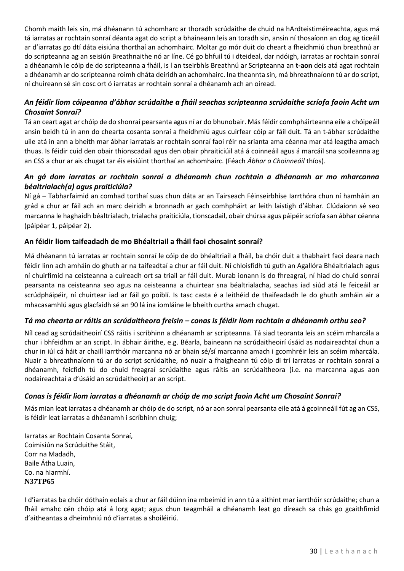Chomh maith leis sin, má dhéanann tú achomharc ar thoradh scrúdaithe de chuid na hArdteistiméireachta, agus má tá iarratas ar rochtain sonraí déanta agat do script a bhaineann leis an toradh sin, ansin ní thosaíonn an clog ag ticeáil ar d'iarratas go dtí dáta eisiúna thorthaí an achomhairc. Moltar go mór duit do cheart a fheidhmiú chun breathnú ar do scripteanna ag an seisiún Breathnaithe nó ar líne. Cé go bhfuil tú i dteideal, dar ndóigh, iarratas ar rochtain sonraí a dhéanamh le cóip de do scripteanna a fháil, is í an tseirbhís Breathnú ar Scripteanna an **t-aon** deis atá agat rochtain a dhéanamh ar do scripteanna roimh dháta deiridh an achomhairc. Ina theannta sin, má bhreathnaíonn tú ar do script, ní chuireann sé sin cosc ort ó iarratas ar rochtain sonraí a dhéanamh ach an oiread.

#### *An féidir liom cóipeanna d'ábhar scrúdaithe a fháil seachas scripteanna scrúdaithe scríofa faoin Acht um Chosaint Sonraí?*

Tá an ceart agat ar chóip de do shonraí pearsanta agus ní ar do bhunobair. Más féidir comhpháirteanna eile a chóipeáil ansin beidh tú in ann do chearta cosanta sonraí a fheidhmiú agus cuirfear cóip ar fáil duit. Tá an t-ábhar scrúdaithe uile atá in ann a bheith mar ábhar iarratais ar rochtain sonraí faoi réir na srianta ama céanna mar atá leagtha amach thuas. Is féidir cuid den obair thionscadail agus den obair phraiticiúil atá á coinneáil agus á marcáil sna scoileanna ag an CSS a chur ar ais chugat tar éis eisiúint thorthaí an achomhairc. (Féach *Ábhar a Choinneáil* thíos).

#### *An gá dom iarratas ar rochtain sonraí a dhéanamh chun rochtain a dhéanamh ar mo mharcanna béaltrialach(a) agus praiticiúla?*

Ní gá – Tabharfaimid an comhad torthaí suas chun dáta ar an Tairseach Féinseirbhíse Iarrthóra chun ní hamháin an grád a chur ar fáil ach an marc deiridh a bronnadh ar gach comhpháirt ar leith laistigh d'ábhar. Clúdaíonn sé seo marcanna le haghaidh béaltrialach, trialacha praiticiúla, tionscadail, obair chúrsa agus páipéir scríofa san ábhar céanna (páipéar 1, páipéar 2).

#### **An féidir liom taifeadadh de mo Bhéaltriail a fháil faoi chosaint sonraí?**

Má dhéanann tú iarratas ar rochtain sonraí le cóip de do bhéaltriail a fháil, ba chóir duit a thabhairt faoi deara nach féidir linn ach amháin do ghuth ar na taifeadtaí a chur ar fáil duit. Ní chloisfidh tú guth an Agallóra Bhéaltrialach agus ní chuirfimid na ceisteanna a cuireadh ort sa triail ar fáil duit. Murab ionann is do fhreagraí, ní hiad do chuid sonraí pearsanta na ceisteanna seo agus na ceisteanna a chuirtear sna béaltrialacha, seachas iad siúd atá le feiceáil ar scrúdpháipéir, ní chuirtear iad ar fáil go poiblí. Is tasc casta é a leithéid de thaifeadadh le do ghuth amháin air a mhacasamhlú agus glacfaidh sé an 90 lá ina iomláine le bheith curtha amach chugat.

#### *Tá mo chearta ar ráitis an scrúdaitheora freisin – conas is féidir liom rochtain a dhéanamh orthu seo?*

Níl cead ag scrúdaitheoirí CSS ráitis i scríbhinn a dhéanamh ar scripteanna. Tá siad teoranta leis an scéim mharcála a chur i bhfeidhm ar an script. In ábhair áirithe, e.g. Béarla, baineann na scrúdaitheoirí úsáid as nodaireachtaí chun a chur in iúl cá háit ar chaill iarrthóir marcanna nó ar bhain sé/sí marcanna amach i gcomhréir leis an scéim mharcála. Nuair a bhreathnaíonn tú ar do script scrúdaithe, nó nuair a fhaigheann tú cóip di trí iarratas ar rochtain sonraí a dhéanamh, feicfidh tú do chuid freagraí scrúdaithe agus ráitis an scrúdaitheora (i.e. na marcanna agus aon nodaireachtaí a d'úsáid an scrúdaitheoir) ar an script.

#### *Conas is féidir liom iarratas a dhéanamh ar chóip de mo script faoin Acht um Chosaint Sonraí?*

Más mian leat iarratas a dhéanamh ar chóip de do script, nó ar aon sonraí pearsanta eile atá á gcoinneáil fút ag an CSS, is féidir leat iarratas a dhéanamh i scríbhinn chuig;

Iarratas ar Rochtain Cosanta Sonraí, Coimisiún na Scrúduithe Stáit, Corr na Madadh, Baile Átha Luain, Co. na hIarmhí. **N37TP65**

I d'iarratas ba chóir dóthain eolais a chur ar fáil dúinn ina mbeimid in ann tú a aithint mar iarrthóir scrúdaithe; chun a fháil amahc cén chóip atá á lorg agat; agus chun teagmháil a dhéanamh leat go díreach sa chás go gcaithfimid d'aitheantas a dheimhniú nó d'iarratas a shoiléiriú.